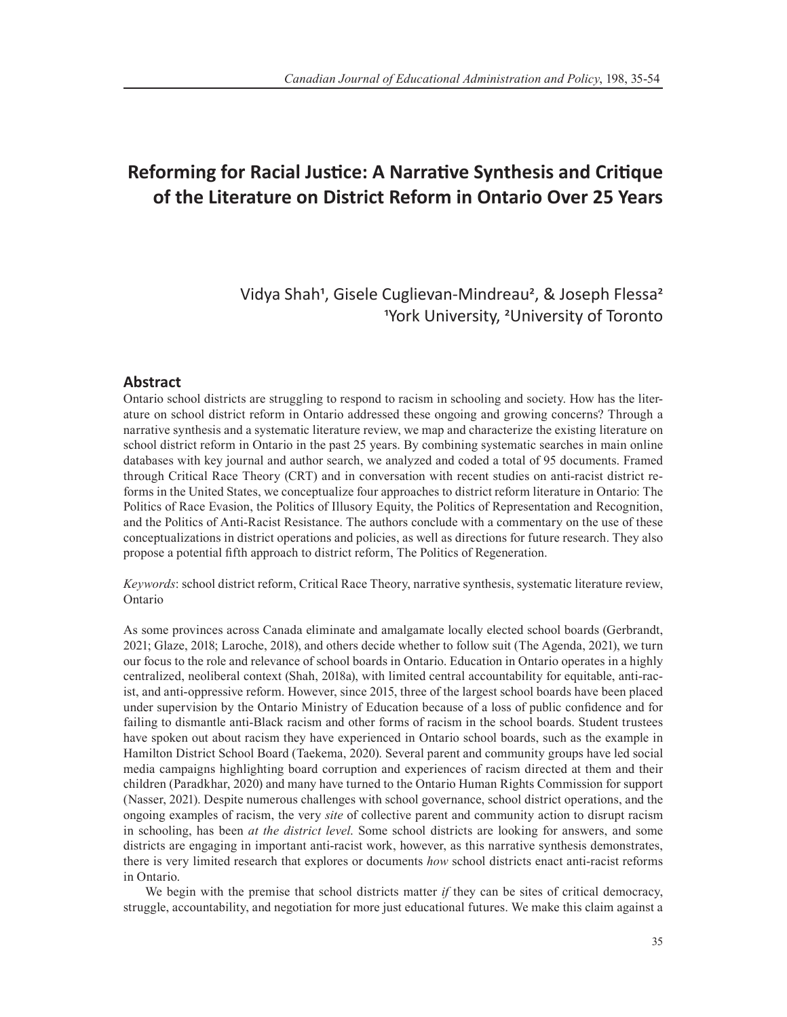# **Reforming for Racial Justice: A Narrative Synthesis and Critique of the Literature on District Reform in Ontario Over 25 Years**

Vidya Shah<sup>1</sup>, Gisele Cuglievan-Mindreau<sup>2</sup>, & Joseph Flessa<sup>2</sup> 1York University, <sup>2</sup>University of Toronto

### **Abstract**

Ontario school districts are struggling to respond to racism in schooling and society. How has the literature on school district reform in Ontario addressed these ongoing and growing concerns? Through a narrative synthesis and a systematic literature review, we map and characterize the existing literature on school district reform in Ontario in the past 25 years. By combining systematic searches in main online databases with key journal and author search, we analyzed and coded a total of 95 documents. Framed through Critical Race Theory (CRT) and in conversation with recent studies on anti-racist district reforms in the United States, we conceptualize four approaches to district reform literature in Ontario: The Politics of Race Evasion, the Politics of Illusory Equity, the Politics of Representation and Recognition, and the Politics of Anti-Racist Resistance. The authors conclude with a commentary on the use of these conceptualizations in district operations and policies, as well as directions for future research. They also propose a potential fifth approach to district reform, The Politics of Regeneration.

*Keywords*: school district reform, Critical Race Theory, narrative synthesis, systematic literature review, Ontario

As some provinces across Canada eliminate and amalgamate locally elected school boards (Gerbrandt, 2021; Glaze, 2018; Laroche, 2018), and others decide whether to follow suit (The Agenda, 2021), we turn our focus to the role and relevance of school boards in Ontario. Education in Ontario operates in a highly centralized, neoliberal context (Shah, 2018a), with limited central accountability for equitable, anti-racist, and anti-oppressive reform. However, since 2015, three of the largest school boards have been placed under supervision by the Ontario Ministry of Education because of a loss of public confidence and for failing to dismantle anti-Black racism and other forms of racism in the school boards. Student trustees have spoken out about racism they have experienced in Ontario school boards, such as the example in Hamilton District School Board (Taekema, 2020). Several parent and community groups have led social media campaigns highlighting board corruption and experiences of racism directed at them and their children (Paradkhar, 2020) and many have turned to the Ontario Human Rights Commission for support (Nasser, 2021). Despite numerous challenges with school governance, school district operations, and the ongoing examples of racism, the very *site* of collective parent and community action to disrupt racism in schooling, has been *at the district level*. Some school districts are looking for answers, and some districts are engaging in important anti-racist work, however, as this narrative synthesis demonstrates, there is very limited research that explores or documents *how* school districts enact anti-racist reforms in Ontario.

We begin with the premise that school districts matter *if* they can be sites of critical democracy, struggle, accountability, and negotiation for more just educational futures. We make this claim against a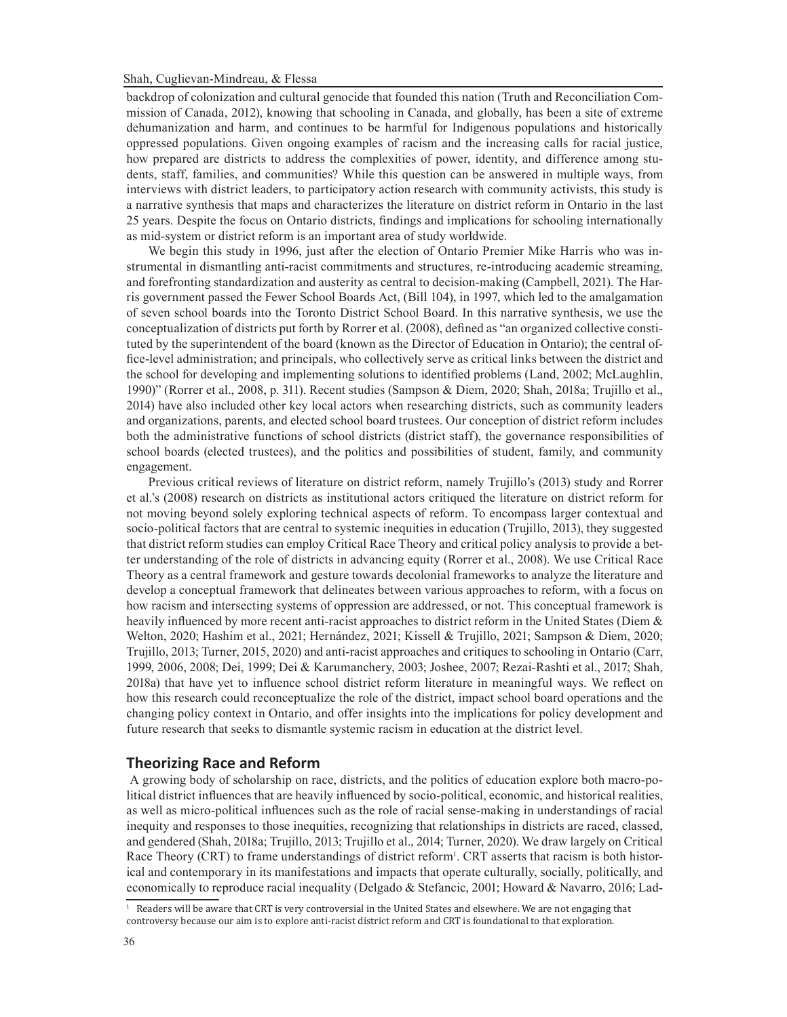backdrop of colonization and cultural genocide that founded this nation (Truth and Reconciliation Commission of Canada, 2012), knowing that schooling in Canada, and globally, has been a site of extreme dehumanization and harm, and continues to be harmful for Indigenous populations and historically oppressed populations. Given ongoing examples of racism and the increasing calls for racial justice, how prepared are districts to address the complexities of power, identity, and difference among students, staff, families, and communities? While this question can be answered in multiple ways, from interviews with district leaders, to participatory action research with community activists, this study is a narrative synthesis that maps and characterizes the literature on district reform in Ontario in the last 25 years. Despite the focus on Ontario districts, findings and implications for schooling internationally as mid-system or district reform is an important area of study worldwide.

We begin this study in 1996, just after the election of Ontario Premier Mike Harris who was instrumental in dismantling anti-racist commitments and structures, re-introducing academic streaming, and forefronting standardization and austerity as central to decision-making (Campbell, 2021). The Harris government passed the Fewer School Boards Act, (Bill 104), in 1997, which led to the amalgamation of seven school boards into the Toronto District School Board. In this narrative synthesis, we use the conceptualization of districts put forth by Rorrer et al. (2008), defined as "an organized collective constituted by the superintendent of the board (known as the Director of Education in Ontario); the central office-level administration; and principals, who collectively serve as critical links between the district and the school for developing and implementing solutions to identified problems (Land, 2002; McLaughlin, 1990)" (Rorrer et al., 2008, p. 311). Recent studies (Sampson & Diem, 2020; Shah, 2018a; Trujillo et al., 2014) have also included other key local actors when researching districts, such as community leaders and organizations, parents, and elected school board trustees. Our conception of district reform includes both the administrative functions of school districts (district staff), the governance responsibilities of school boards (elected trustees), and the politics and possibilities of student, family, and community engagement.

Previous critical reviews of literature on district reform, namely Trujillo's (2013) study and Rorrer et al.'s (2008) research on districts as institutional actors critiqued the literature on district reform for not moving beyond solely exploring technical aspects of reform. To encompass larger contextual and socio-political factors that are central to systemic inequities in education (Trujillo, 2013), they suggested that district reform studies can employ Critical Race Theory and critical policy analysis to provide a better understanding of the role of districts in advancing equity (Rorrer et al., 2008). We use Critical Race Theory as a central framework and gesture towards decolonial frameworks to analyze the literature and develop a conceptual framework that delineates between various approaches to reform, with a focus on how racism and intersecting systems of oppression are addressed, or not. This conceptual framework is heavily influenced by more recent anti-racist approaches to district reform in the United States (Diem & Welton, 2020; Hashim et al., 2021; Hernández, 2021; Kissell & Trujillo, 2021; Sampson & Diem, 2020; Trujillo, 2013; Turner, 2015, 2020) and anti-racist approaches and critiques to schooling in Ontario (Carr, 1999, 2006, 2008; Dei, 1999; Dei & Karumanchery, 2003; Joshee, 2007; Rezai-Rashti et al., 2017; Shah, 2018a) that have yet to influence school district reform literature in meaningful ways. We reflect on how this research could reconceptualize the role of the district, impact school board operations and the changing policy context in Ontario, and offer insights into the implications for policy development and future research that seeks to dismantle systemic racism in education at the district level.

### **Theorizing Race and Reform**

 A growing body of scholarship on race, districts, and the politics of education explore both macro-political district influences that are heavily influenced by socio-political, economic, and historical realities, as well as micro-political influences such as the role of racial sense-making in understandings of racial inequity and responses to those inequities, recognizing that relationships in districts are raced, classed, and gendered (Shah, 2018a; Trujillo, 2013; Trujillo et al., 2014; Turner, 2020). We draw largely on Critical Race Theory (CRT) to frame understandings of district reform<sup>1</sup>. CRT asserts that racism is both historical and contemporary in its manifestations and impacts that operate culturally, socially, politically, and economically to reproduce racial inequality (Delgado & Stefancic, 2001; Howard & Navarro, 2016; Lad-

 $^1$  Readers will be aware that CRT is very controversial in the United States and elsewhere. We are not engaging that controversy because our aim is to explore anti-racist district reform and CRT is foundational to that exploration.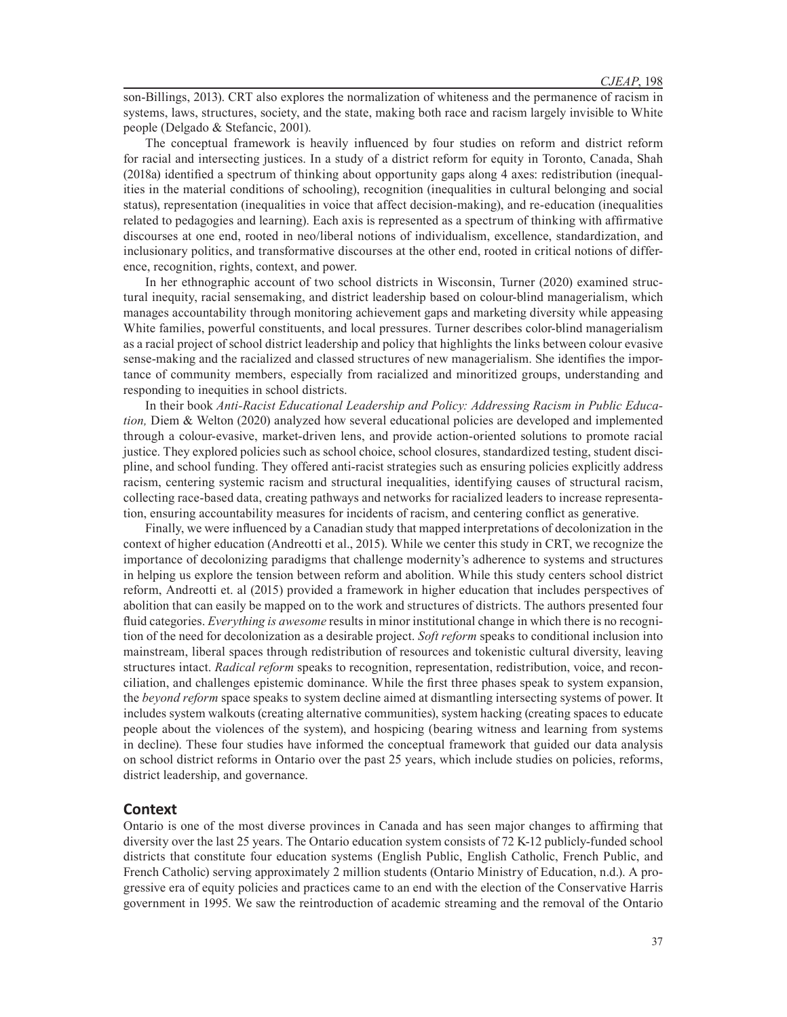son-Billings, 2013). CRT also explores the normalization of whiteness and the permanence of racism in systems, laws, structures, society, and the state, making both race and racism largely invisible to White people (Delgado & Stefancic, 2001).

The conceptual framework is heavily influenced by four studies on reform and district reform for racial and intersecting justices. In a study of a district reform for equity in Toronto, Canada, Shah (2018a) identified a spectrum of thinking about opportunity gaps along 4 axes: redistribution (inequalities in the material conditions of schooling), recognition (inequalities in cultural belonging and social status), representation (inequalities in voice that affect decision-making), and re-education (inequalities related to pedagogies and learning). Each axis is represented as a spectrum of thinking with affirmative discourses at one end, rooted in neo/liberal notions of individualism, excellence, standardization, and inclusionary politics, and transformative discourses at the other end, rooted in critical notions of difference, recognition, rights, context, and power.

In her ethnographic account of two school districts in Wisconsin, Turner (2020) examined structural inequity, racial sensemaking, and district leadership based on colour-blind managerialism, which manages accountability through monitoring achievement gaps and marketing diversity while appeasing White families, powerful constituents, and local pressures. Turner describes color-blind managerialism as a racial project of school district leadership and policy that highlights the links between colour evasive sense-making and the racialized and classed structures of new managerialism. She identifies the importance of community members, especially from racialized and minoritized groups, understanding and responding to inequities in school districts.

In their book *Anti-Racist Educational Leadership and Policy: Addressing Racism in Public Education,* Diem & Welton (2020) analyzed how several educational policies are developed and implemented through a colour-evasive, market-driven lens, and provide action-oriented solutions to promote racial justice. They explored policies such as school choice, school closures, standardized testing, student discipline, and school funding. They offered anti-racist strategies such as ensuring policies explicitly address racism, centering systemic racism and structural inequalities, identifying causes of structural racism, collecting race-based data, creating pathways and networks for racialized leaders to increase representation, ensuring accountability measures for incidents of racism, and centering conflict as generative.

Finally, we were influenced by a Canadian study that mapped interpretations of decolonization in the context of higher education (Andreotti et al., 2015). While we center this study in CRT, we recognize the importance of decolonizing paradigms that challenge modernity's adherence to systems and structures in helping us explore the tension between reform and abolition. While this study centers school district reform, Andreotti et. al (2015) provided a framework in higher education that includes perspectives of abolition that can easily be mapped on to the work and structures of districts. The authors presented four fluid categories. *Everything is awesome* results in minor institutional change in which there is no recognition of the need for decolonization as a desirable project. *Soft reform* speaks to conditional inclusion into mainstream, liberal spaces through redistribution of resources and tokenistic cultural diversity, leaving structures intact. *Radical reform* speaks to recognition, representation, redistribution, voice, and reconciliation, and challenges epistemic dominance. While the first three phases speak to system expansion, the *beyond reform* space speaks to system decline aimed at dismantling intersecting systems of power. It includes system walkouts (creating alternative communities), system hacking (creating spaces to educate people about the violences of the system), and hospicing (bearing witness and learning from systems in decline). These four studies have informed the conceptual framework that guided our data analysis on school district reforms in Ontario over the past 25 years, which include studies on policies, reforms, district leadership, and governance.

#### **Context**

Ontario is one of the most diverse provinces in Canada and has seen major changes to affirming that diversity over the last 25 years. The Ontario education system consists of 72 K-12 publicly-funded school districts that constitute four education systems (English Public, English Catholic, French Public, and French Catholic) serving approximately 2 million students (Ontario Ministry of Education, n.d.). A progressive era of equity policies and practices came to an end with the election of the Conservative Harris government in 1995. We saw the reintroduction of academic streaming and the removal of the Ontario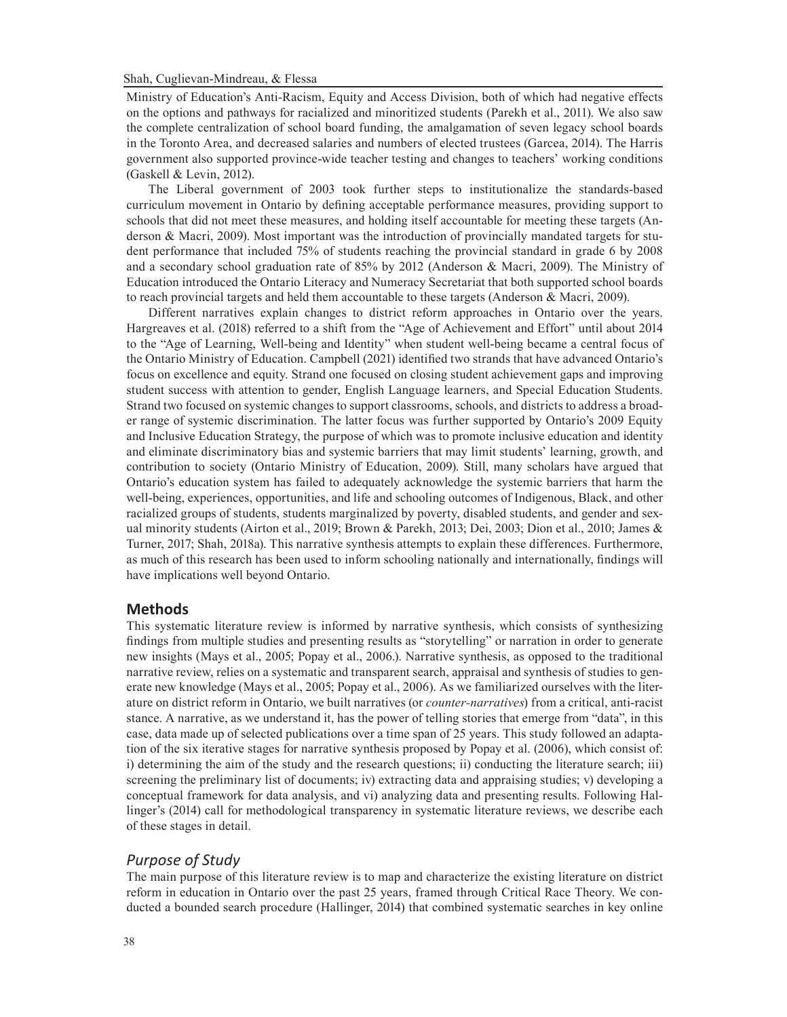Ministry of Education's Anti-Racism, Equity and Access Division, both of which had negative effects on the options and pathways for racialized and minoritized students (Parekh et al., 2011). We also saw the complete centralization of school board funding, the amalgamation of seven legacy school boards in the Toronto Area, and decreased salaries and numbers of elected trustees (Garcea, 2014). The Harris government also supported province-wide teacher testing and changes to teachers' working conditions (Gaskell & Levin, 2012).

The Liberal government of 2003 took further steps to institutionalize the standards-based curriculum movement in Ontario by defining acceptable performance measures, providing support to schools that did not meet these measures, and holding itself accountable for meeting these targets (Anderson & Macri, 2009). Most important was the introduction of provincially mandated targets for student performance that included 75% of students reaching the provincial standard in grade 6 by 2008 and a secondary school graduation rate of 85% by 2012 (Anderson & Macri, 2009). The Ministry of Education introduced the Ontario Literacy and Numeracy Secretariat that both supported school boards to reach provincial targets and held them accountable to these targets (Anderson & Macri, 2009).

Different narratives explain changes to district reform approaches in Ontario over the years. Hargreaves et al. (2018) referred to a shift from the "Age of Achievement and Effort" until about 2014 to the "Age of Learning, Well-being and Identity" when student well-being became a central focus of the Ontario Ministry of Education. Campbell (2021) identified two strands that have advanced Ontario's focus on excellence and equity. Strand one focused on closing student achievement gaps and improving student success with attention to gender, English Language learners, and Special Education Students. Strand two focused on systemic changes to support classrooms, schools, and districts to address a broader range of systemic discrimination. The latter focus was further supported by Ontario's 2009 Equity and Inclusive Education Strategy, the purpose of which was to promote inclusive education and identity and eliminate discriminatory bias and systemic barriers that may limit students' learning, growth, and contribution to society (Ontario Ministry of Education, 2009). Still, many scholars have argued that Ontario's education system has failed to adequately acknowledge the systemic barriers that harm the well-being, experiences, opportunities, and life and schooling outcomes of Indigenous, Black, and other racialized groups of students, students marginalized by poverty, disabled students, and gender and sexual minority students (Airton et al., 2019; Brown & Parekh, 2013; Dei, 2003; Dion et al., 2010; James & Turner, 2017; Shah, 2018a). This narrative synthesis attempts to explain these differences. Furthermore, as much of this research has been used to inform schooling nationally and internationally, findings will have implications well beyond Ontario.

### **Methods**

This systematic literature review is informed by narrative synthesis, which consists of synthesizing findings from multiple studies and presenting results as "storytelling" or narration in order to generate new insights (Mays et al., 2005; Popay et al., 2006.). Narrative synthesis, as opposed to the traditional narrative review, relies on a systematic and transparent search, appraisal and synthesis of studies to generate new knowledge (Mays et al., 2005; Popay et al., 2006). As we familiarized ourselves with the literature on district reform in Ontario, we built narratives (or *counter-narratives*) from a critical, anti-racist stance. A narrative, as we understand it, has the power of telling stories that emerge from "data", in this case, data made up of selected publications over a time span of 25 years. This study followed an adaptation of the six iterative stages for narrative synthesis proposed by Popay et al. (2006), which consist of: i) determining the aim of the study and the research questions; ii) conducting the literature search; iii) screening the preliminary list of documents; iv) extracting data and appraising studies; v) developing a conceptual framework for data analysis, and vi) analyzing data and presenting results. Following Hallinger's (2014) call for methodological transparency in systematic literature reviews, we describe each of these stages in detail.

# *Purpose of Study*

The main purpose of this literature review is to map and characterize the existing literature on district reform in education in Ontario over the past 25 years, framed through Critical Race Theory. We conducted a bounded search procedure (Hallinger, 2014) that combined systematic searches in key online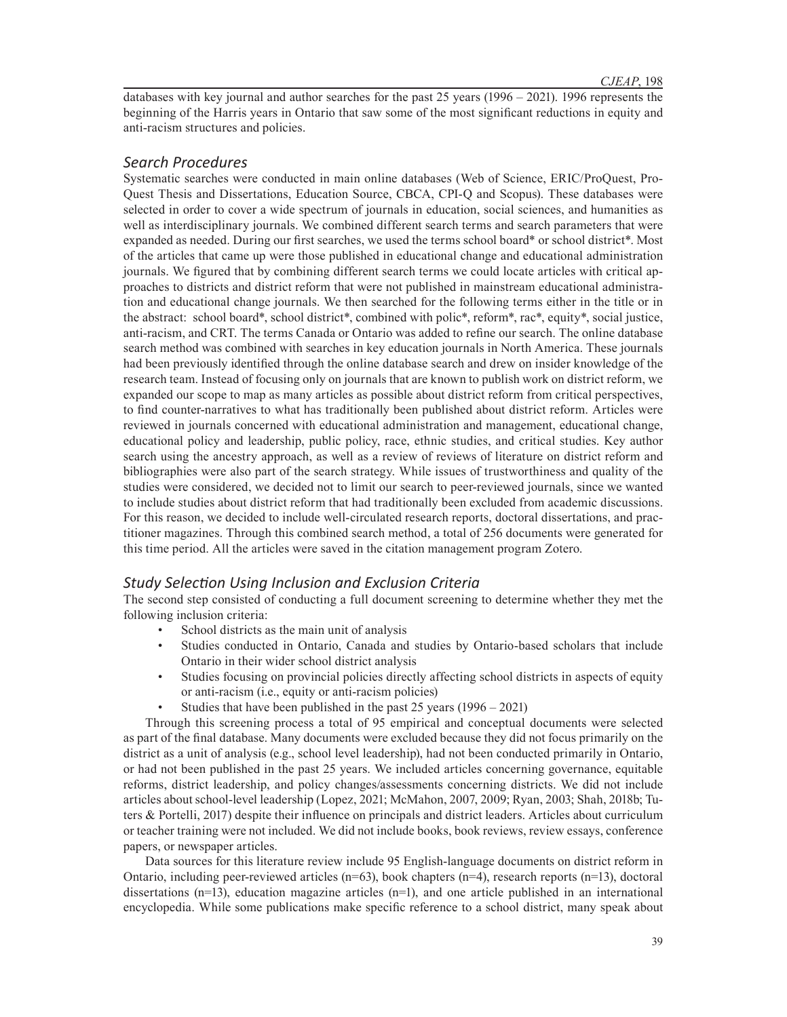databases with key journal and author searches for the past 25 years (1996 – 2021). 1996 represents the beginning of the Harris years in Ontario that saw some of the most significant reductions in equity and anti-racism structures and policies.

# *Search Procedures*

Systematic searches were conducted in main online databases (Web of Science, ERIC/ProQuest, Pro-Quest Thesis and Dissertations, Education Source, CBCA, CPI-Q and Scopus). These databases were selected in order to cover a wide spectrum of journals in education, social sciences, and humanities as well as interdisciplinary journals. We combined different search terms and search parameters that were expanded as needed. During our first searches, we used the terms school board\* or school district\*. Most of the articles that came up were those published in educational change and educational administration journals. We figured that by combining different search terms we could locate articles with critical approaches to districts and district reform that were not published in mainstream educational administration and educational change journals. We then searched for the following terms either in the title or in the abstract: school board\*, school district\*, combined with polic\*, reform\*, rac\*, equity\*, social justice, anti-racism, and CRT. The terms Canada or Ontario was added to refine our search. The online database search method was combined with searches in key education journals in North America. These journals had been previously identified through the online database search and drew on insider knowledge of the research team. Instead of focusing only on journals that are known to publish work on district reform, we expanded our scope to map as many articles as possible about district reform from critical perspectives, to find counter-narratives to what has traditionally been published about district reform. Articles were reviewed in journals concerned with educational administration and management, educational change, educational policy and leadership, public policy, race, ethnic studies, and critical studies. Key author search using the ancestry approach, as well as a review of reviews of literature on district reform and bibliographies were also part of the search strategy. While issues of trustworthiness and quality of the studies were considered, we decided not to limit our search to peer-reviewed journals, since we wanted to include studies about district reform that had traditionally been excluded from academic discussions. For this reason, we decided to include well-circulated research reports, doctoral dissertations, and practitioner magazines. Through this combined search method, a total of 256 documents were generated for this time period. All the articles were saved in the citation management program Zotero.

# *Study Selection Using Inclusion and Exclusion Criteria*

The second step consisted of conducting a full document screening to determine whether they met the following inclusion criteria:

- School districts as the main unit of analysis
- Studies conducted in Ontario, Canada and studies by Ontario-based scholars that include Ontario in their wider school district analysis
- Studies focusing on provincial policies directly affecting school districts in aspects of equity or anti-racism (i.e., equity or anti-racism policies)
- Studies that have been published in the past 25 years (1996 2021)

Through this screening process a total of 95 empirical and conceptual documents were selected as part of the final database. Many documents were excluded because they did not focus primarily on the district as a unit of analysis (e.g., school level leadership), had not been conducted primarily in Ontario, or had not been published in the past 25 years. We included articles concerning governance, equitable reforms, district leadership, and policy changes/assessments concerning districts. We did not include articles about school-level leadership (Lopez, 2021; McMahon, 2007, 2009; Ryan, 2003; Shah, 2018b; Tuters & Portelli, 2017) despite their influence on principals and district leaders. Articles about curriculum or teacher training were not included. We did not include books, book reviews, review essays, conference papers, or newspaper articles.

Data sources for this literature review include 95 English-language documents on district reform in Ontario, including peer-reviewed articles  $(n=63)$ , book chapters  $(n=4)$ , research reports  $(n=13)$ , doctoral dissertations (n=13), education magazine articles (n=1), and one article published in an international encyclopedia. While some publications make specific reference to a school district, many speak about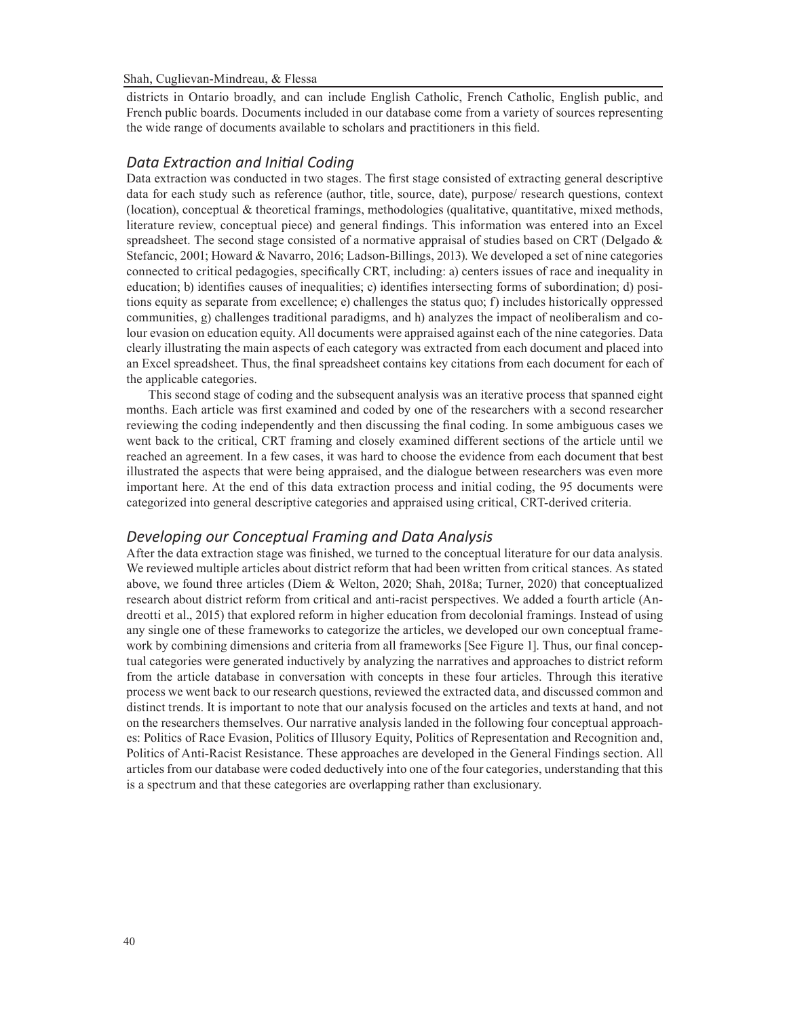districts in Ontario broadly, and can include English Catholic, French Catholic, English public, and French public boards. Documents included in our database come from a variety of sources representing the wide range of documents available to scholars and practitioners in this field.

# *Data Extraction and Initial Coding*

Data extraction was conducted in two stages. The first stage consisted of extracting general descriptive data for each study such as reference (author, title, source, date), purpose/ research questions, context (location), conceptual  $\&$  theoretical framings, methodologies (qualitative, quantitative, mixed methods, literature review, conceptual piece) and general findings. This information was entered into an Excel spreadsheet. The second stage consisted of a normative appraisal of studies based on CRT (Delgado  $\&$ Stefancic, 2001; Howard & Navarro, 2016; Ladson-Billings, 2013). We developed a set of nine categories connected to critical pedagogies, specifically CRT, including: a) centers issues of race and inequality in education; b) identifies causes of inequalities; c) identifies intersecting forms of subordination; d) positions equity as separate from excellence; e) challenges the status quo; f) includes historically oppressed communities, g) challenges traditional paradigms, and h) analyzes the impact of neoliberalism and colour evasion on education equity. All documents were appraised against each of the nine categories. Data clearly illustrating the main aspects of each category was extracted from each document and placed into an Excel spreadsheet. Thus, the final spreadsheet contains key citations from each document for each of the applicable categories.

This second stage of coding and the subsequent analysis was an iterative process that spanned eight months. Each article was first examined and coded by one of the researchers with a second researcher reviewing the coding independently and then discussing the final coding. In some ambiguous cases we went back to the critical, CRT framing and closely examined different sections of the article until we reached an agreement. In a few cases, it was hard to choose the evidence from each document that best illustrated the aspects that were being appraised, and the dialogue between researchers was even more important here. At the end of this data extraction process and initial coding, the 95 documents were categorized into general descriptive categories and appraised using critical, CRT-derived criteria.

## *Developing our Conceptual Framing and Data Analysis*

After the data extraction stage was finished, we turned to the conceptual literature for our data analysis. We reviewed multiple articles about district reform that had been written from critical stances. As stated above, we found three articles (Diem & Welton, 2020; Shah, 2018a; Turner, 2020) that conceptualized research about district reform from critical and anti-racist perspectives. We added a fourth article (Andreotti et al., 2015) that explored reform in higher education from decolonial framings. Instead of using any single one of these frameworks to categorize the articles, we developed our own conceptual framework by combining dimensions and criteria from all frameworks [See Figure 1]. Thus, our final conceptual categories were generated inductively by analyzing the narratives and approaches to district reform from the article database in conversation with concepts in these four articles. Through this iterative process we went back to our research questions, reviewed the extracted data, and discussed common and distinct trends. It is important to note that our analysis focused on the articles and texts at hand, and not on the researchers themselves. Our narrative analysis landed in the following four conceptual approaches: Politics of Race Evasion, Politics of Illusory Equity, Politics of Representation and Recognition and, Politics of Anti-Racist Resistance. These approaches are developed in the General Findings section. All articles from our database were coded deductively into one of the four categories, understanding that this is a spectrum and that these categories are overlapping rather than exclusionary.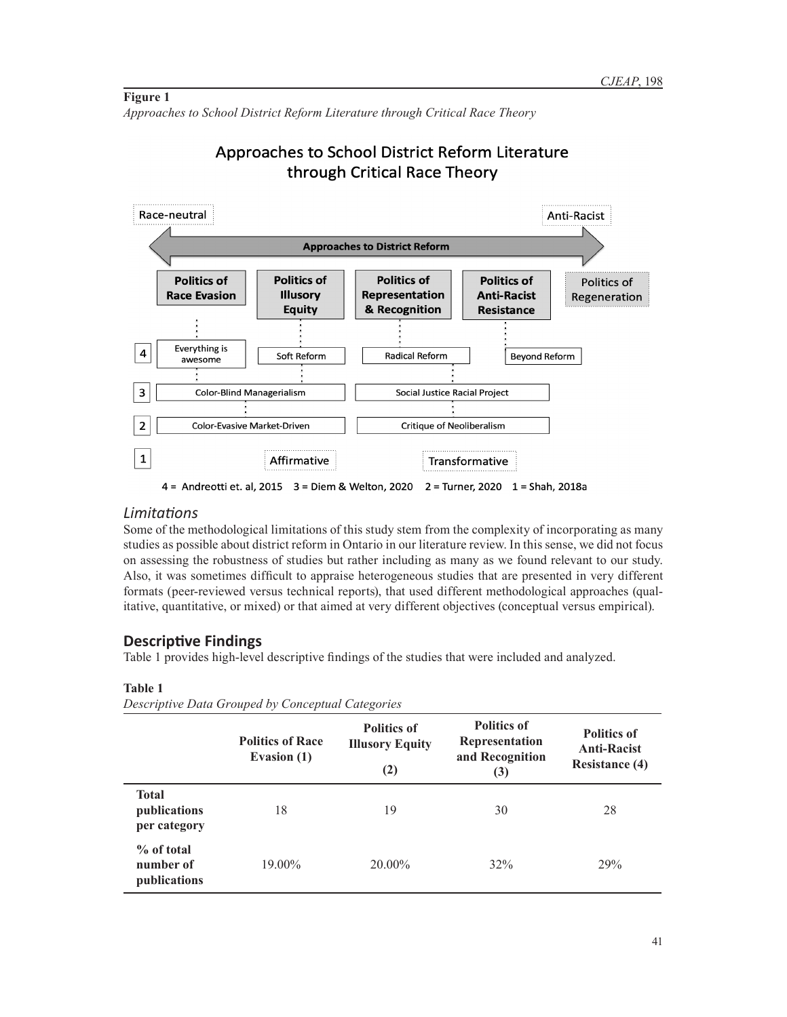## **Figure 1** *Approaches to School District Reform Literature through Critical Race Theory*

# Approaches to School District Reform Literature through Critical Race Theory



4 = Andreotti et. al, 2015 3 = Diem & Welton, 2020 2 = Turner, 2020 1 = Shah, 2018a

# *Limitations*

Some of the methodological limitations of this study stem from the complexity of incorporating as many studies as possible about district reform in Ontario in our literature review. In this sense, we did not focus on assessing the robustness of studies but rather including as many as we found relevant to our study. Also, it was sometimes difficult to appraise heterogeneous studies that are presented in very different formats (peer-reviewed versus technical reports), that used different methodological approaches (qualitative, quantitative, or mixed) or that aimed at very different objectives (conceptual versus empirical).

# **Descriptive Findings**

Table 1 provides high-level descriptive findings of the studies that were included and analyzed.

|                                              | <b>Politics of Race</b><br>Evasion (1) | <b>Politics of</b><br><b>Illusory Equity</b><br>(2) | <b>Politics of</b><br>Representation<br>and Recognition<br>(3) | <b>Politics of</b><br><b>Anti-Racist</b><br><b>Resistance (4)</b> |
|----------------------------------------------|----------------------------------------|-----------------------------------------------------|----------------------------------------------------------------|-------------------------------------------------------------------|
| <b>Total</b><br>publications<br>per category | 18                                     | 19                                                  | 30                                                             | 28                                                                |
| $%$ of total<br>number of<br>publications    | 19.00%                                 | 20.00%                                              | 32%                                                            | 29%                                                               |

# **Table 1**

*Descriptive Data Grouped by Conceptual Categories*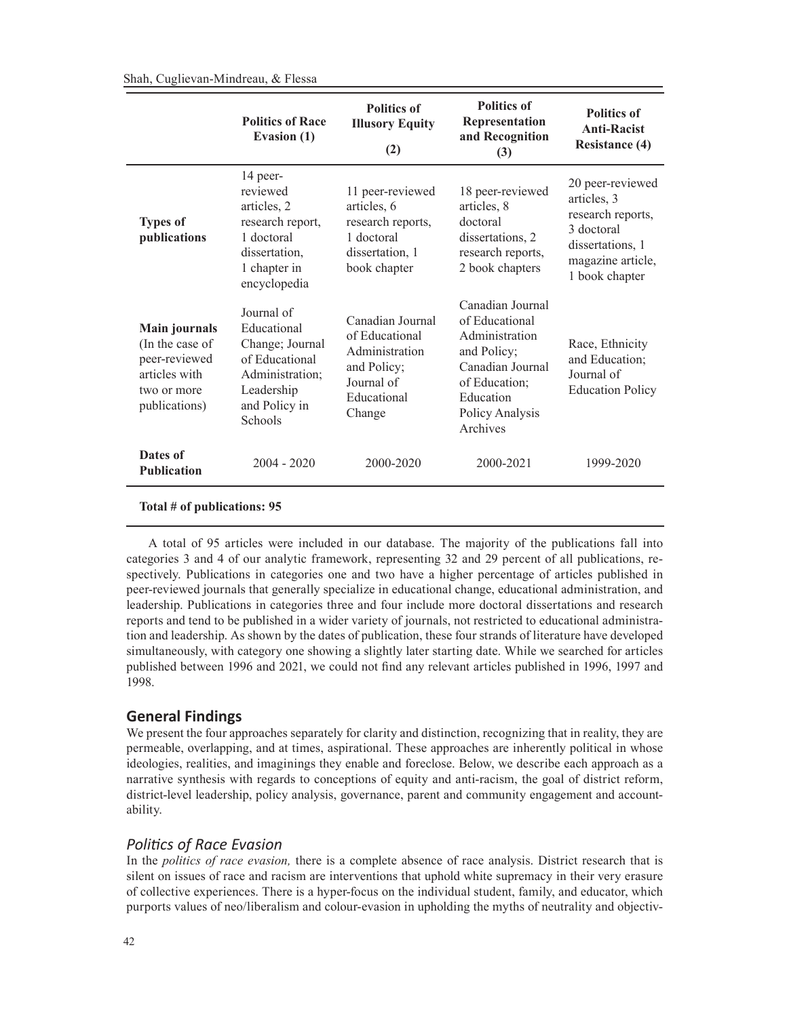|                                                                                                           | <b>Politics of Race</b><br><b>Evasion</b> (1)                                                                                      | <b>Politics of</b><br><b>Illusory Equity</b><br>(2)                                                        | <b>Politics of</b><br>Representation<br>and Recognition<br>(3)                                                                                       | <b>Politics of</b><br><b>Anti-Racist</b><br><b>Resistance (4)</b>                                                             |
|-----------------------------------------------------------------------------------------------------------|------------------------------------------------------------------------------------------------------------------------------------|------------------------------------------------------------------------------------------------------------|------------------------------------------------------------------------------------------------------------------------------------------------------|-------------------------------------------------------------------------------------------------------------------------------|
| <b>Types of</b><br>publications                                                                           | 14 peer-<br>reviewed<br>articles, 2<br>research report,<br>1 doctoral<br>dissertation,<br>1 chapter in<br>encyclopedia             | 11 peer-reviewed<br>articles, 6<br>research reports,<br>1 doctoral<br>dissertation, 1<br>book chapter      | 18 peer-reviewed<br>articles, 8<br>doctoral<br>dissertations, 2<br>research reports,<br>2 book chapters                                              | 20 peer-reviewed<br>articles, 3<br>research reports,<br>3 doctoral<br>dissertations, 1<br>magazine article,<br>1 book chapter |
| <b>Main journals</b><br>(In the case of<br>peer-reviewed<br>articles with<br>two or more<br>publications) | Journal of<br>Educational<br>Change; Journal<br>of Educational<br>Administration;<br>Leadership<br>and Policy in<br><b>Schools</b> | Canadian Journal<br>of Educational<br>Administration<br>and Policy;<br>Journal of<br>Educational<br>Change | Canadian Journal<br>of Educational<br>Administration<br>and Policy;<br>Canadian Journal<br>of Education;<br>Education<br>Policy Analysis<br>Archives | Race, Ethnicity<br>and Education;<br>Journal of<br><b>Education Policy</b>                                                    |
| Dates of<br><b>Publication</b>                                                                            | $2004 - 2020$                                                                                                                      | 2000-2020                                                                                                  | 2000-2021                                                                                                                                            | 1999-2020                                                                                                                     |
|                                                                                                           |                                                                                                                                    |                                                                                                            |                                                                                                                                                      |                                                                                                                               |

#### **Total # of publications: 95**

A total of 95 articles were included in our database. The majority of the publications fall into categories 3 and 4 of our analytic framework, representing 32 and 29 percent of all publications, respectively. Publications in categories one and two have a higher percentage of articles published in peer-reviewed journals that generally specialize in educational change, educational administration, and leadership. Publications in categories three and four include more doctoral dissertations and research reports and tend to be published in a wider variety of journals, not restricted to educational administration and leadership. As shown by the dates of publication, these four strands of literature have developed simultaneously, with category one showing a slightly later starting date. While we searched for articles published between 1996 and 2021, we could not find any relevant articles published in 1996, 1997 and 1998.

# **General Findings**

We present the four approaches separately for clarity and distinction, recognizing that in reality, they are permeable, overlapping, and at times, aspirational. These approaches are inherently political in whose ideologies, realities, and imaginings they enable and foreclose. Below, we describe each approach as a narrative synthesis with regards to conceptions of equity and anti-racism, the goal of district reform, district-level leadership, policy analysis, governance, parent and community engagement and accountability.

### *Politics of Race Evasion*

In the *politics of race evasion,* there is a complete absence of race analysis. District research that is silent on issues of race and racism are interventions that uphold white supremacy in their very erasure of collective experiences. There is a hyper-focus on the individual student, family, and educator, which purports values of neo/liberalism and colour-evasion in upholding the myths of neutrality and objectiv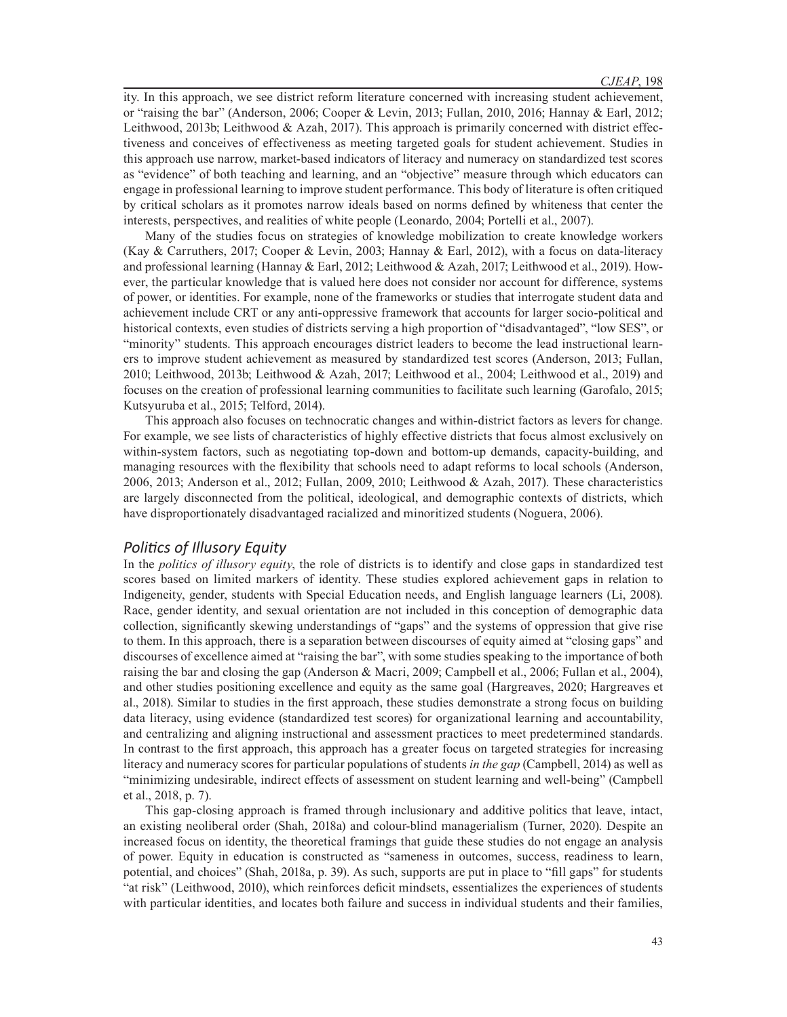ity. In this approach, we see district reform literature concerned with increasing student achievement, or "raising the bar" (Anderson, 2006; Cooper & Levin, 2013; Fullan, 2010, 2016; Hannay & Earl, 2012; Leithwood, 2013b; Leithwood & Azah, 2017). This approach is primarily concerned with district effectiveness and conceives of effectiveness as meeting targeted goals for student achievement. Studies in this approach use narrow, market-based indicators of literacy and numeracy on standardized test scores as "evidence" of both teaching and learning, and an "objective" measure through which educators can engage in professional learning to improve student performance. This body of literature is often critiqued by critical scholars as it promotes narrow ideals based on norms defined by whiteness that center the interests, perspectives, and realities of white people (Leonardo, 2004; Portelli et al., 2007).

Many of the studies focus on strategies of knowledge mobilization to create knowledge workers (Kay & Carruthers, 2017; Cooper & Levin, 2003; Hannay & Earl, 2012), with a focus on data-literacy and professional learning (Hannay & Earl, 2012; Leithwood & Azah, 2017; Leithwood et al., 2019). However, the particular knowledge that is valued here does not consider nor account for difference, systems of power, or identities. For example, none of the frameworks or studies that interrogate student data and achievement include CRT or any anti-oppressive framework that accounts for larger socio-political and historical contexts, even studies of districts serving a high proportion of "disadvantaged", "low SES", or "minority" students. This approach encourages district leaders to become the lead instructional learners to improve student achievement as measured by standardized test scores (Anderson, 2013; Fullan, 2010; Leithwood, 2013b; Leithwood & Azah, 2017; Leithwood et al., 2004; Leithwood et al., 2019) and focuses on the creation of professional learning communities to facilitate such learning (Garofalo, 2015; Kutsyuruba et al., 2015; Telford, 2014).

This approach also focuses on technocratic changes and within-district factors as levers for change. For example, we see lists of characteristics of highly effective districts that focus almost exclusively on within-system factors, such as negotiating top-down and bottom-up demands, capacity-building, and managing resources with the flexibility that schools need to adapt reforms to local schools (Anderson, 2006, 2013; Anderson et al., 2012; Fullan, 2009, 2010; Leithwood & Azah, 2017). These characteristics are largely disconnected from the political, ideological, and demographic contexts of districts, which have disproportionately disadvantaged racialized and minoritized students (Noguera, 2006).

# *Politics of Illusory Equity*

In the *politics of illusory equity*, the role of districts is to identify and close gaps in standardized test scores based on limited markers of identity. These studies explored achievement gaps in relation to Indigeneity, gender, students with Special Education needs, and English language learners (Li, 2008). Race, gender identity, and sexual orientation are not included in this conception of demographic data collection, significantly skewing understandings of "gaps" and the systems of oppression that give rise to them. In this approach, there is a separation between discourses of equity aimed at "closing gaps" and discourses of excellence aimed at "raising the bar", with some studies speaking to the importance of both raising the bar and closing the gap (Anderson & Macri, 2009; Campbell et al., 2006; Fullan et al., 2004), and other studies positioning excellence and equity as the same goal (Hargreaves, 2020; Hargreaves et al., 2018). Similar to studies in the first approach, these studies demonstrate a strong focus on building data literacy, using evidence (standardized test scores) for organizational learning and accountability, and centralizing and aligning instructional and assessment practices to meet predetermined standards. In contrast to the first approach, this approach has a greater focus on targeted strategies for increasing literacy and numeracy scores for particular populations of students *in the gap* (Campbell, 2014) as well as "minimizing undesirable, indirect effects of assessment on student learning and well-being" (Campbell et al., 2018, p. 7).

This gap-closing approach is framed through inclusionary and additive politics that leave, intact, an existing neoliberal order (Shah, 2018a) and colour-blind managerialism (Turner, 2020). Despite an increased focus on identity, the theoretical framings that guide these studies do not engage an analysis of power. Equity in education is constructed as "sameness in outcomes, success, readiness to learn, potential, and choices" (Shah, 2018a, p. 39). As such, supports are put in place to "fill gaps" for students "at risk" (Leithwood, 2010), which reinforces deficit mindsets, essentializes the experiences of students with particular identities, and locates both failure and success in individual students and their families,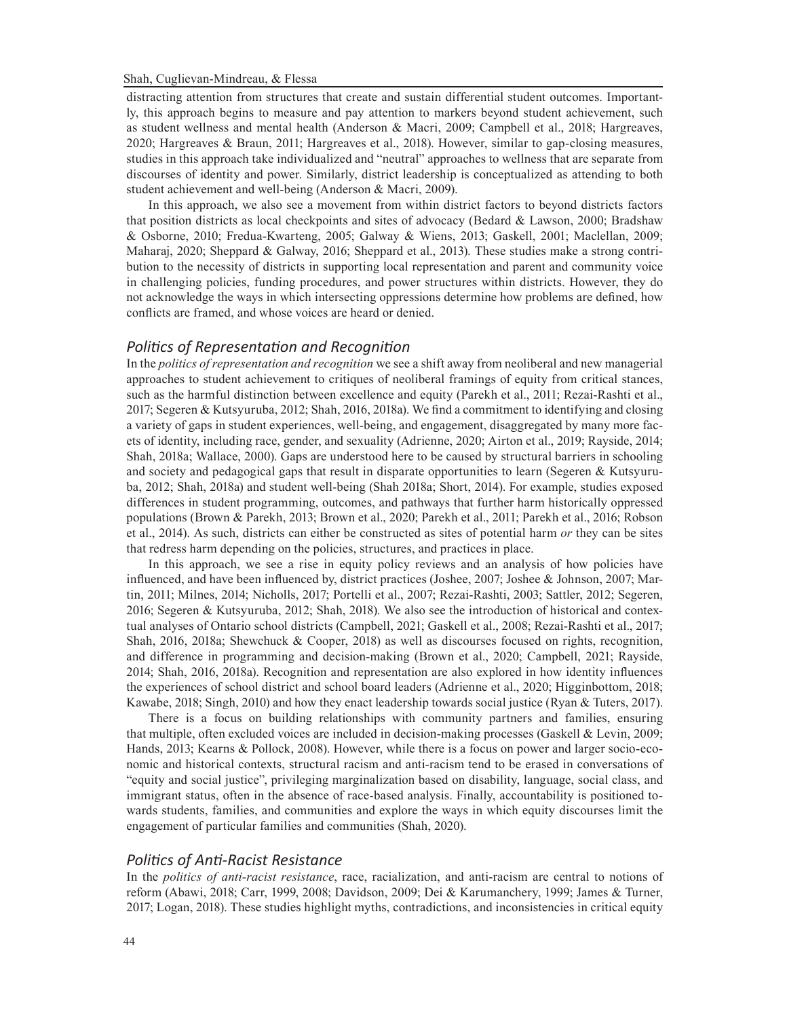distracting attention from structures that create and sustain differential student outcomes. Importantly, this approach begins to measure and pay attention to markers beyond student achievement, such as student wellness and mental health (Anderson & Macri, 2009; Campbell et al., 2018; Hargreaves, 2020; Hargreaves & Braun, 2011; Hargreaves et al., 2018). However, similar to gap-closing measures, studies in this approach take individualized and "neutral" approaches to wellness that are separate from discourses of identity and power. Similarly, district leadership is conceptualized as attending to both student achievement and well-being (Anderson & Macri, 2009).

 In this approach, we also see a movement from within district factors to beyond districts factors that position districts as local checkpoints and sites of advocacy (Bedard & Lawson, 2000; Bradshaw & Osborne, 2010; Fredua-Kwarteng, 2005; Galway & Wiens, 2013; Gaskell, 2001; Maclellan, 2009; Maharaj, 2020; Sheppard & Galway, 2016; Sheppard et al., 2013). These studies make a strong contribution to the necessity of districts in supporting local representation and parent and community voice in challenging policies, funding procedures, and power structures within districts. However, they do not acknowledge the ways in which intersecting oppressions determine how problems are defined, how conflicts are framed, and whose voices are heard or denied.

# *Politics of Representation and Recognition*

In the *politics of representation and recognition* we see a shift away from neoliberal and new managerial approaches to student achievement to critiques of neoliberal framings of equity from critical stances, such as the harmful distinction between excellence and equity (Parekh et al., 2011; Rezai-Rashti et al., 2017; Segeren & Kutsyuruba, 2012; Shah, 2016, 2018a). We find a commitment to identifying and closing a variety of gaps in student experiences, well-being, and engagement, disaggregated by many more facets of identity, including race, gender, and sexuality (Adrienne, 2020; Airton et al., 2019; Rayside, 2014; Shah, 2018a; Wallace, 2000). Gaps are understood here to be caused by structural barriers in schooling and society and pedagogical gaps that result in disparate opportunities to learn (Segeren & Kutsyuruba, 2012; Shah, 2018a) and student well-being (Shah 2018a; Short, 2014). For example, studies exposed differences in student programming, outcomes, and pathways that further harm historically oppressed populations (Brown & Parekh, 2013; Brown et al., 2020; Parekh et al., 2011; Parekh et al., 2016; Robson et al., 2014). As such, districts can either be constructed as sites of potential harm *or* they can be sites that redress harm depending on the policies, structures, and practices in place.

In this approach, we see a rise in equity policy reviews and an analysis of how policies have influenced, and have been influenced by, district practices (Joshee, 2007; Joshee & Johnson, 2007; Martin, 2011; Milnes, 2014; Nicholls, 2017; Portelli et al., 2007; Rezai-Rashti, 2003; Sattler, 2012; Segeren, 2016; Segeren & Kutsyuruba, 2012; Shah, 2018). We also see the introduction of historical and contextual analyses of Ontario school districts (Campbell, 2021; Gaskell et al., 2008; Rezai-Rashti et al., 2017; Shah, 2016, 2018a; Shewchuck & Cooper, 2018) as well as discourses focused on rights, recognition, and difference in programming and decision-making (Brown et al., 2020; Campbell, 2021; Rayside, 2014; Shah, 2016, 2018a). Recognition and representation are also explored in how identity influences the experiences of school district and school board leaders (Adrienne et al., 2020; Higginbottom, 2018; Kawabe, 2018; Singh, 2010) and how they enact leadership towards social justice (Ryan & Tuters, 2017).

There is a focus on building relationships with community partners and families, ensuring that multiple, often excluded voices are included in decision-making processes (Gaskell & Levin, 2009; Hands, 2013; Kearns & Pollock, 2008). However, while there is a focus on power and larger socio-economic and historical contexts, structural racism and anti-racism tend to be erased in conversations of "equity and social justice", privileging marginalization based on disability, language, social class, and immigrant status, often in the absence of race-based analysis. Finally, accountability is positioned towards students, families, and communities and explore the ways in which equity discourses limit the engagement of particular families and communities (Shah, 2020).

### *Politics of Anti-Racist Resistance*

In the *politics of anti-racist resistance*, race, racialization, and anti-racism are central to notions of reform (Abawi, 2018; Carr, 1999, 2008; Davidson, 2009; Dei & Karumanchery, 1999; James & Turner, 2017; Logan, 2018). These studies highlight myths, contradictions, and inconsistencies in critical equity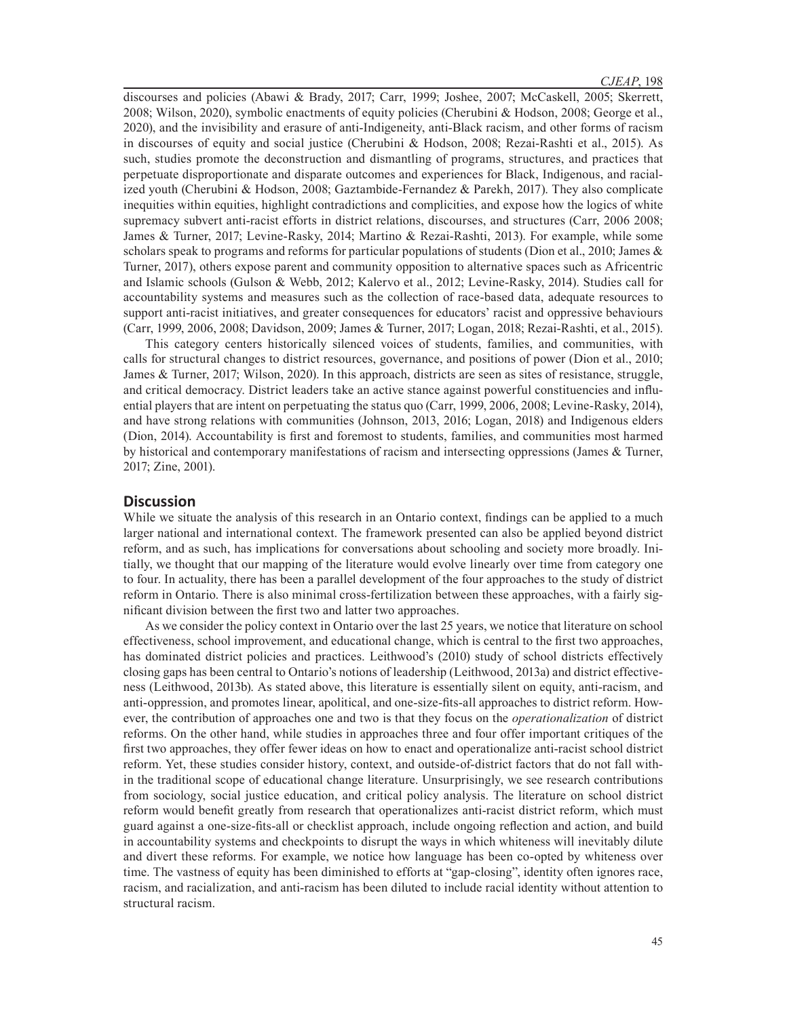discourses and policies (Abawi & Brady, 2017; Carr, 1999; Joshee, 2007; McCaskell, 2005; Skerrett, 2008; Wilson, 2020), symbolic enactments of equity policies (Cherubini & Hodson, 2008; George et al., 2020), and the invisibility and erasure of anti-Indigeneity, anti-Black racism, and other forms of racism in discourses of equity and social justice (Cherubini & Hodson, 2008; Rezai-Rashti et al., 2015). As such, studies promote the deconstruction and dismantling of programs, structures, and practices that perpetuate disproportionate and disparate outcomes and experiences for Black, Indigenous, and racialized youth (Cherubini & Hodson, 2008; Gaztambide-Fernandez & Parekh, 2017). They also complicate inequities within equities, highlight contradictions and complicities, and expose how the logics of white supremacy subvert anti-racist efforts in district relations, discourses, and structures (Carr, 2006 2008; James & Turner, 2017; Levine-Rasky, 2014; Martino & Rezai-Rashti, 2013). For example, while some scholars speak to programs and reforms for particular populations of students (Dion et al., 2010; James  $\&$ Turner, 2017), others expose parent and community opposition to alternative spaces such as Africentric and Islamic schools (Gulson & Webb, 2012; Kalervo et al., 2012; Levine-Rasky, 2014). Studies call for accountability systems and measures such as the collection of race-based data, adequate resources to support anti-racist initiatives, and greater consequences for educators' racist and oppressive behaviours (Carr, 1999, 2006, 2008; Davidson, 2009; James & Turner, 2017; Logan, 2018; Rezai-Rashti, et al., 2015).

This category centers historically silenced voices of students, families, and communities, with calls for structural changes to district resources, governance, and positions of power (Dion et al., 2010; James & Turner, 2017; Wilson, 2020). In this approach, districts are seen as sites of resistance, struggle, and critical democracy. District leaders take an active stance against powerful constituencies and influential players that are intent on perpetuating the status quo (Carr, 1999, 2006, 2008; Levine-Rasky, 2014), and have strong relations with communities (Johnson, 2013, 2016; Logan, 2018) and Indigenous elders (Dion, 2014). Accountability is first and foremost to students, families, and communities most harmed by historical and contemporary manifestations of racism and intersecting oppressions (James & Turner, 2017; Zine, 2001).

### **Discussion**

While we situate the analysis of this research in an Ontario context, findings can be applied to a much larger national and international context. The framework presented can also be applied beyond district reform, and as such, has implications for conversations about schooling and society more broadly. Initially, we thought that our mapping of the literature would evolve linearly over time from category one to four. In actuality, there has been a parallel development of the four approaches to the study of district reform in Ontario. There is also minimal cross-fertilization between these approaches, with a fairly significant division between the first two and latter two approaches.

As we consider the policy context in Ontario over the last 25 years, we notice that literature on school effectiveness, school improvement, and educational change, which is central to the first two approaches, has dominated district policies and practices. Leithwood's (2010) study of school districts effectively closing gaps has been central to Ontario's notions of leadership (Leithwood, 2013a) and district effectiveness (Leithwood, 2013b). As stated above, this literature is essentially silent on equity, anti-racism, and anti-oppression, and promotes linear, apolitical, and one-size-fits-all approaches to district reform. However, the contribution of approaches one and two is that they focus on the *operationalization* of district reforms. On the other hand, while studies in approaches three and four offer important critiques of the first two approaches, they offer fewer ideas on how to enact and operationalize anti-racist school district reform. Yet, these studies consider history, context, and outside-of-district factors that do not fall within the traditional scope of educational change literature. Unsurprisingly, we see research contributions from sociology, social justice education, and critical policy analysis. The literature on school district reform would benefit greatly from research that operationalizes anti-racist district reform, which must guard against a one-size-fits-all or checklist approach, include ongoing reflection and action, and build in accountability systems and checkpoints to disrupt the ways in which whiteness will inevitably dilute and divert these reforms. For example, we notice how language has been co-opted by whiteness over time. The vastness of equity has been diminished to efforts at "gap-closing", identity often ignores race, racism, and racialization, and anti-racism has been diluted to include racial identity without attention to structural racism.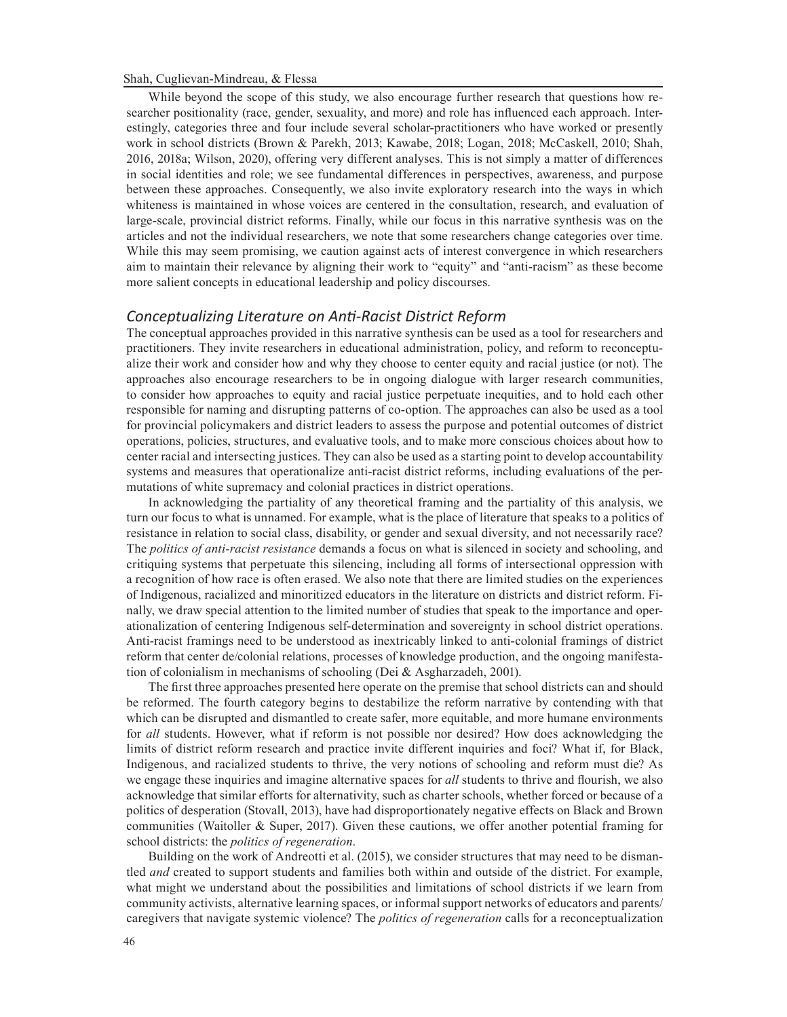While beyond the scope of this study, we also encourage further research that questions how researcher positionality (race, gender, sexuality, and more) and role has influenced each approach. Interestingly, categories three and four include several scholar-practitioners who have worked or presently work in school districts (Brown & Parekh, 2013; Kawabe, 2018; Logan, 2018; McCaskell, 2010; Shah, 2016, 2018a; Wilson, 2020), offering very different analyses. This is not simply a matter of differences in social identities and role; we see fundamental differences in perspectives, awareness, and purpose between these approaches. Consequently, we also invite exploratory research into the ways in which whiteness is maintained in whose voices are centered in the consultation, research, and evaluation of large-scale, provincial district reforms. Finally, while our focus in this narrative synthesis was on the articles and not the individual researchers, we note that some researchers change categories over time. While this may seem promising, we caution against acts of interest convergence in which researchers aim to maintain their relevance by aligning their work to "equity" and "anti-racism" as these become more salient concepts in educational leadership and policy discourses.

### *Conceptualizing Literature on Anti-Racist District Reform*

The conceptual approaches provided in this narrative synthesis can be used as a tool for researchers and practitioners. They invite researchers in educational administration, policy, and reform to reconceptualize their work and consider how and why they choose to center equity and racial justice (or not). The approaches also encourage researchers to be in ongoing dialogue with larger research communities, to consider how approaches to equity and racial justice perpetuate inequities, and to hold each other responsible for naming and disrupting patterns of co-option. The approaches can also be used as a tool for provincial policymakers and district leaders to assess the purpose and potential outcomes of district operations, policies, structures, and evaluative tools, and to make more conscious choices about how to center racial and intersecting justices. They can also be used as a starting point to develop accountability systems and measures that operationalize anti-racist district reforms, including evaluations of the permutations of white supremacy and colonial practices in district operations.

In acknowledging the partiality of any theoretical framing and the partiality of this analysis, we turn our focus to what is unnamed. For example, what is the place of literature that speaks to a politics of resistance in relation to social class, disability, or gender and sexual diversity, and not necessarily race? The *politics of anti-racist resistance* demands a focus on what is silenced in society and schooling, and critiquing systems that perpetuate this silencing, including all forms of intersectional oppression with a recognition of how race is often erased. We also note that there are limited studies on the experiences of Indigenous, racialized and minoritized educators in the literature on districts and district reform. Finally, we draw special attention to the limited number of studies that speak to the importance and operationalization of centering Indigenous self-determination and sovereignty in school district operations. Anti-racist framings need to be understood as inextricably linked to anti-colonial framings of district reform that center de/colonial relations, processes of knowledge production, and the ongoing manifestation of colonialism in mechanisms of schooling (Dei & Asgharzadeh, 2001).

The first three approaches presented here operate on the premise that school districts can and should be reformed. The fourth category begins to destabilize the reform narrative by contending with that which can be disrupted and dismantled to create safer, more equitable, and more humane environments for *all* students. However, what if reform is not possible nor desired? How does acknowledging the limits of district reform research and practice invite different inquiries and foci? What if, for Black, Indigenous, and racialized students to thrive, the very notions of schooling and reform must die? As we engage these inquiries and imagine alternative spaces for *all* students to thrive and flourish, we also acknowledge that similar efforts for alternativity, such as charter schools, whether forced or because of a politics of desperation (Stovall, 2013), have had disproportionately negative effects on Black and Brown communities (Waitoller & Super, 2017). Given these cautions, we offer another potential framing for school districts: the *politics of regeneration*.

Building on the work of Andreotti et al. (2015), we consider structures that may need to be dismantled *and* created to support students and families both within and outside of the district. For example, what might we understand about the possibilities and limitations of school districts if we learn from community activists, alternative learning spaces, or informal support networks of educators and parents/ caregivers that navigate systemic violence? The *politics of regeneration* calls for a reconceptualization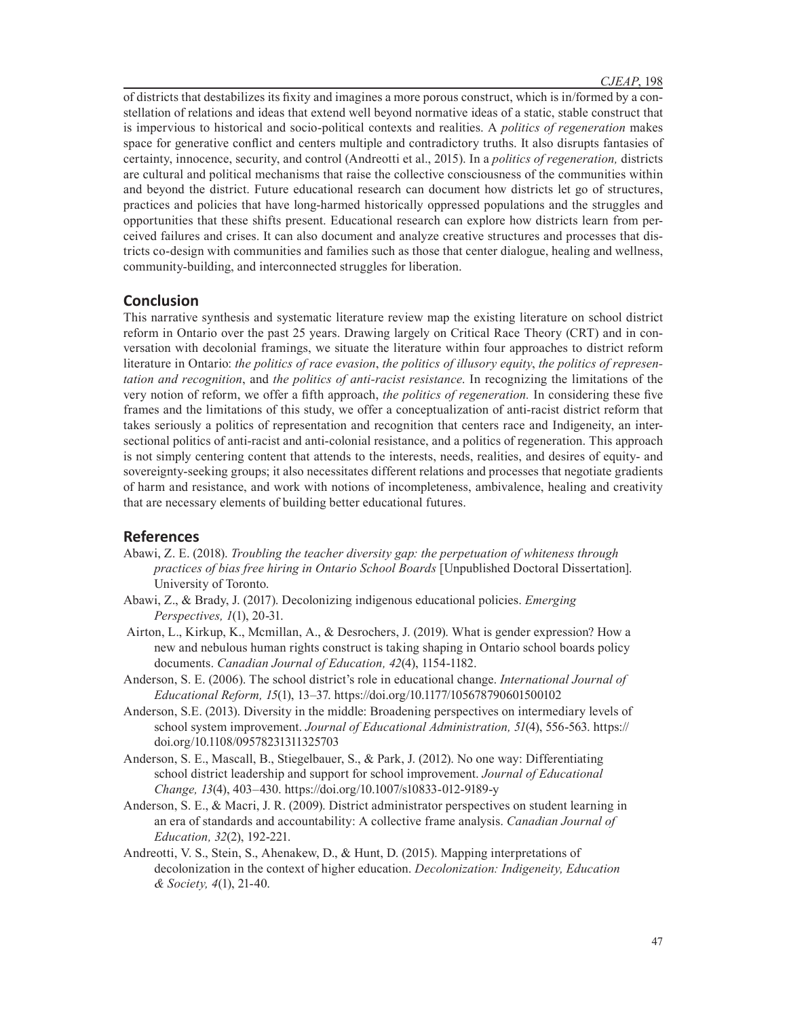of districts that destabilizes its fixity and imagines a more porous construct, which is in/formed by a constellation of relations and ideas that extend well beyond normative ideas of a static, stable construct that is impervious to historical and socio-political contexts and realities. A *politics of regeneration* makes space for generative conflict and centers multiple and contradictory truths. It also disrupts fantasies of certainty, innocence, security, and control (Andreotti et al., 2015). In a *politics of regeneration,* districts are cultural and political mechanisms that raise the collective consciousness of the communities within and beyond the district. Future educational research can document how districts let go of structures, practices and policies that have long-harmed historically oppressed populations and the struggles and opportunities that these shifts present. Educational research can explore how districts learn from perceived failures and crises. It can also document and analyze creative structures and processes that districts co-design with communities and families such as those that center dialogue, healing and wellness, community-building, and interconnected struggles for liberation.

### **Conclusion**

This narrative synthesis and systematic literature review map the existing literature on school district reform in Ontario over the past 25 years. Drawing largely on Critical Race Theory (CRT) and in conversation with decolonial framings, we situate the literature within four approaches to district reform literature in Ontario: *the politics of race evasion*, *the politics of illusory equity*, *the politics of representation and recognition*, and *the politics of anti-racist resistance*. In recognizing the limitations of the very notion of reform, we offer a fifth approach, *the politics of regeneration.* In considering these five frames and the limitations of this study, we offer a conceptualization of anti-racist district reform that takes seriously a politics of representation and recognition that centers race and Indigeneity, an intersectional politics of anti-racist and anti-colonial resistance, and a politics of regeneration. This approach is not simply centering content that attends to the interests, needs, realities, and desires of equity- and sovereignty-seeking groups; it also necessitates different relations and processes that negotiate gradients of harm and resistance, and work with notions of incompleteness, ambivalence, healing and creativity that are necessary elements of building better educational futures.

### **References**

- Abawi, Z. E. (2018). *Troubling the teacher diversity gap: the perpetuation of whiteness through practices of bias free hiring in Ontario School Boards* [Unpublished Doctoral Dissertation]. University of Toronto.
- Abawi, Z., & Brady, J. (2017). Decolonizing indigenous educational policies. *Emerging Perspectives, 1*(1), 20-31.
- Airton, L., Kirkup, K., Mcmillan, A., & Desrochers, J. (2019). What is gender expression? How a new and nebulous human rights construct is taking shaping in Ontario school boards policy documents. *Canadian Journal of Education, 42*(4), 1154-1182.
- Anderson, S. E. (2006). The school district's role in educational change. *International Journal of Educational Reform, 15*(1), 13–37. https://doi.org/10.1177/105678790601500102
- Anderson, S.E. (2013). Diversity in the middle: Broadening perspectives on intermediary levels of school system improvement. *Journal of Educational Administration, 51*(4), 556-563. https:// doi.org/10.1108/09578231311325703
- Anderson, S. E., Mascall, B., Stiegelbauer, S., & Park, J. (2012). No one way: Differentiating school district leadership and support for school improvement. *Journal of Educational Change, 13*(4), 403–430. https://doi.org/10.1007/s10833-012-9189-y
- Anderson, S. E., & Macri, J. R. (2009). District administrator perspectives on student learning in an era of standards and accountability: A collective frame analysis. *Canadian Journal of Education, 32*(2), 192-221.
- Andreotti, V. S., Stein, S., Ahenakew, D., & Hunt, D. (2015). Mapping interpretations of decolonization in the context of higher education. *Decolonization: Indigeneity, Education & Society, 4*(1), 21-40.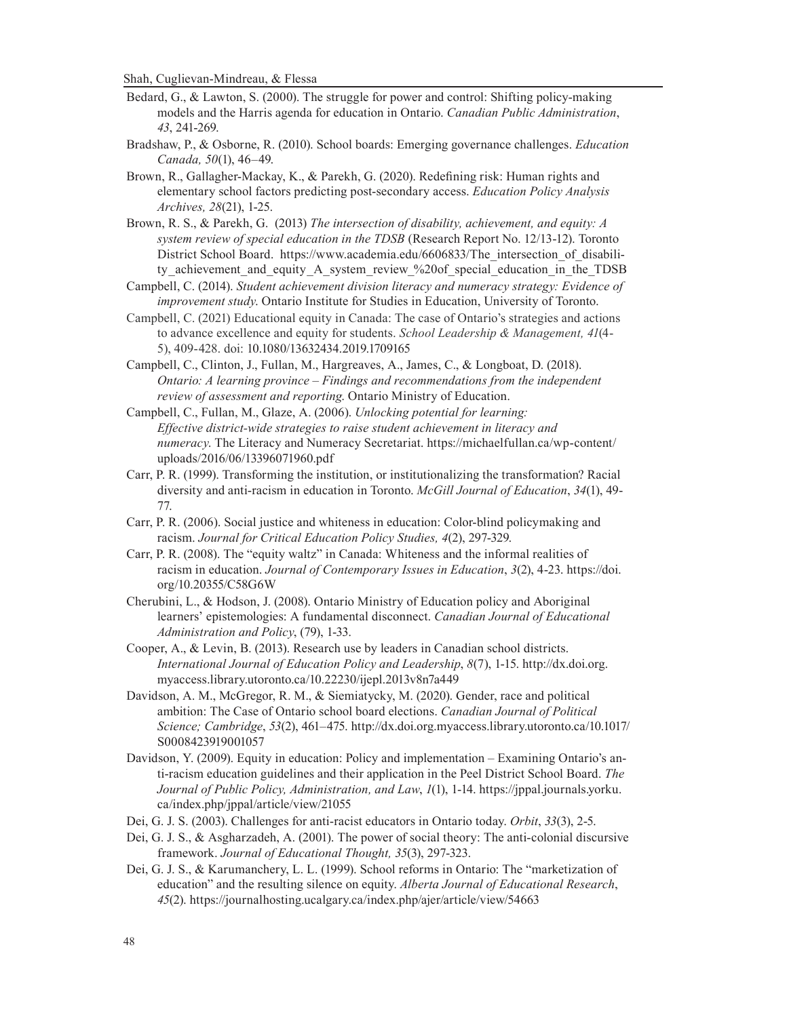- Bedard, G., & Lawton, S. (2000). The struggle for power and control: Shifting policy-making models and the Harris agenda for education in Ontario. *Canadian Public Administration*, *43*, 241-269.
- Bradshaw, P., & Osborne, R. (2010). School boards: Emerging governance challenges. *Education Canada, 50*(1), 46–49.
- Brown, R., Gallagher-Mackay, K., & Parekh, G. (2020). Redefining risk: Human rights and elementary school factors predicting post-secondary access. *Education Policy Analysis Archives, 28*(21), 1-25.
- Brown, R. S., & Parekh, G. (2013) *The intersection of disability, achievement, and equity: A system review of special education in the TDSB* (Research Report No. 12/13-12). Toronto District School Board. https://www.academia.edu/6606833/The\_intersection\_of\_disability achievement and equity A system review %20of special education in the TDSB
- Campbell, C. (2014). *Student achievement division literacy and numeracy strategy: Evidence of improvement study*. Ontario Institute for Studies in Education, University of Toronto.
- Campbell, C. (2021) Educational equity in Canada: The case of Ontario's strategies and actions to advance excellence and equity for students. *School Leadership & Management, 41*(4- 5), 409-428. doi: 10.1080/13632434.2019.1709165
- Campbell, C., Clinton, J., Fullan, M., Hargreaves, A., James, C., & Longboat, D. (2018). *Ontario: A learning province – Findings and recommendations from the independent review of assessment and reporting*. Ontario Ministry of Education.
- Campbell, C., Fullan, M., Glaze, A. (2006). *Unlocking potential for learning: Effective district-wide strategies to raise student achievement in literacy and numeracy*. The Literacy and Numeracy Secretariat. https://michaelfullan.ca/wp-content/ uploads/2016/06/13396071960.pdf
- Carr, P. R. (1999). Transforming the institution, or institutionalizing the transformation? Racial diversity and anti-racism in education in Toronto. *McGill Journal of Education*, *34*(1), 49- 77.
- Carr, P. R. (2006). Social justice and whiteness in education: Color-blind policymaking and racism. *Journal for Critical Education Policy Studies, 4*(2), 297-329.
- Carr, P. R. (2008). The "equity waltz" in Canada: Whiteness and the informal realities of racism in education. *Journal of Contemporary Issues in Education*, *3*(2), 4-23. https://doi. org/10.20355/C58G6W
- Cherubini, L., & Hodson, J. (2008). Ontario Ministry of Education policy and Aboriginal learners' epistemologies: A fundamental disconnect. *Canadian Journal of Educational Administration and Policy*, (79), 1-33.
- Cooper, A., & Levin, B. (2013). Research use by leaders in Canadian school districts. *International Journal of Education Policy and Leadership*, *8*(7), 1-15. http://dx.doi.org. myaccess.library.utoronto.ca/10.22230/ijepl.2013v8n7a449
- Davidson, A. M., McGregor, R. M., & Siemiatycky, M. (2020). Gender, race and political ambition: The Case of Ontario school board elections. *Canadian Journal of Political Science; Cambridge*, *53*(2), 461–475. http://dx.doi.org.myaccess.library.utoronto.ca/10.1017/ S0008423919001057
- Davidson, Y. (2009). Equity in education: Policy and implementation Examining Ontario's anti-racism education guidelines and their application in the Peel District School Board. *The Journal of Public Policy, Administration, and Law*, *1*(1), 1-14. https://jppal.journals.yorku. ca/index.php/jppal/article/view/21055
- Dei, G. J. S. (2003). Challenges for anti-racist educators in Ontario today. *Orbit*, *33*(3), 2-5.
- Dei, G. J. S., & Asgharzadeh, A. (2001). The power of social theory: The anti-colonial discursive framework. *Journal of Educational Thought, 35*(3), 297-323.
- Dei, G. J. S., & Karumanchery, L. L. (1999). School reforms in Ontario: The "marketization of education" and the resulting silence on equity. *Alberta Journal of Educational Research*, *45*(2). https://journalhosting.ucalgary.ca/index.php/ajer/article/view/54663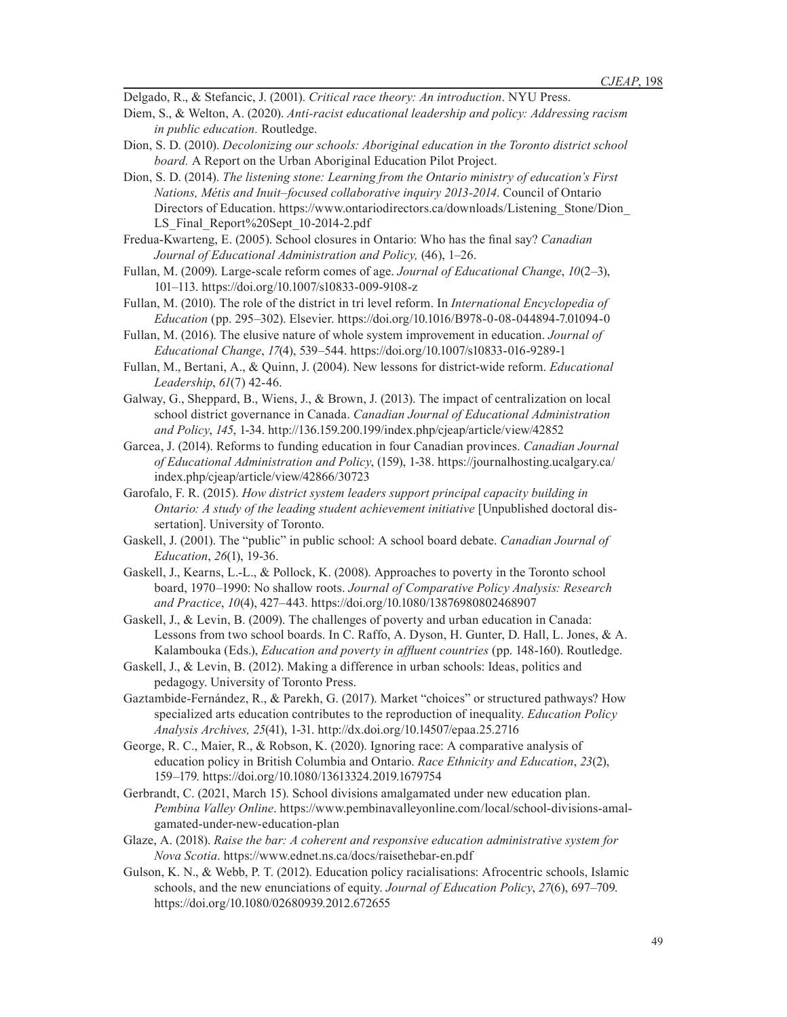Delgado, R., & Stefancic, J. (2001). *Critical race theory: An introduction*. NYU Press.

- Diem, S., & Welton, A. (2020). *Anti-racist educational leadership and policy: Addressing racism in public education.* Routledge.
- Dion, S. D. (2010). *Decolonizing our schools: Aboriginal education in the Toronto district school board.* A Report on the Urban Aboriginal Education Pilot Project.
- Dion, S. D. (2014). *The listening stone: Learning from the Ontario ministry of education's First Nations, Métis and Inuit–focused collaborative inquiry 2013-2014*. Council of Ontario Directors of Education. https://www.ontariodirectors.ca/downloads/Listening\_Stone/Dion LS Final Report%20Sept 10-2014-2.pdf
- Fredua-Kwarteng, E. (2005). School closures in Ontario: Who has the final say? *Canadian Journal of Educational Administration and Policy,* (46), 1–26.
- Fullan, M. (2009). Large-scale reform comes of age. *Journal of Educational Change*, *10*(2–3), 101–113. https://doi.org/10.1007/s10833-009-9108-z
- Fullan, M. (2010). The role of the district in tri level reform. In *International Encyclopedia of Education* (pp. 295–302). Elsevier. https://doi.org/10.1016/B978-0-08-044894-7.01094-0
- Fullan, M. (2016). The elusive nature of whole system improvement in education. *Journal of Educational Change*, *17*(4), 539–544. https://doi.org/10.1007/s10833-016-9289-1
- Fullan, M., Bertani, A., & Quinn, J. (2004). New lessons for district-wide reform. *Educational Leadership*, *61*(7) 42-46.
- Galway, G., Sheppard, B., Wiens, J., & Brown, J. (2013). The impact of centralization on local school district governance in Canada. *Canadian Journal of Educational Administration and Policy*, *145*, 1-34. http://136.159.200.199/index.php/cjeap/article/view/42852
- Garcea, J. (2014). Reforms to funding education in four Canadian provinces. *Canadian Journal of Educational Administration and Policy*, (159), 1-38. https://journalhosting.ucalgary.ca/ index.php/cjeap/article/view/42866/30723
- Garofalo, F. R. (2015). *How district system leaders support principal capacity building in Ontario: A study of the leading student achievement initiative* [Unpublished doctoral dissertation]. University of Toronto.
- Gaskell, J. (2001). The "public" in public school: A school board debate. *Canadian Journal of Education*, *26*(1), 19-36.
- Gaskell, J., Kearns, L.-L., & Pollock, K. (2008). Approaches to poverty in the Toronto school board, 1970–1990: No shallow roots. *Journal of Comparative Policy Analysis: Research and Practice*, *10*(4), 427–443. https://doi.org/10.1080/13876980802468907
- Gaskell, J., & Levin, B. (2009). The challenges of poverty and urban education in Canada: Lessons from two school boards. In C. Raffo, A. Dyson, H. Gunter, D. Hall, L. Jones, & A. Kalambouka (Eds.), *Education and poverty in affluent countries* (pp. 148-160). Routledge.
- Gaskell, J., & Levin, B. (2012). Making a difference in urban schools: Ideas, politics and pedagogy. University of Toronto Press.
- Gaztambide-Fernández, R., & Parekh, G. (2017). Market "choices" or structured pathways? How specialized arts education contributes to the reproduction of inequality. *Education Policy Analysis Archives, 25*(41), 1-31. http://dx.doi.org/10.14507/epaa.25.2716
- George, R. C., Maier, R., & Robson, K. (2020). Ignoring race: A comparative analysis of education policy in British Columbia and Ontario. *Race Ethnicity and Education*, *23*(2), 159–179. https://doi.org/10.1080/13613324.2019.1679754
- Gerbrandt, C. (2021, March 15). School divisions amalgamated under new education plan. *Pembina Valley Online*. https://www.pembinavalleyonline.com/local/school-divisions-amalgamated-under-new-education-plan
- Glaze, A. (2018). *Raise the bar: A coherent and responsive education administrative system for Nova Scotia*. https://www.ednet.ns.ca/docs/raisethebar-en.pdf
- Gulson, K. N., & Webb, P. T. (2012). Education policy racialisations: Afrocentric schools, Islamic schools, and the new enunciations of equity. *Journal of Education Policy*, *27*(6), 697–709. https://doi.org/10.1080/02680939.2012.672655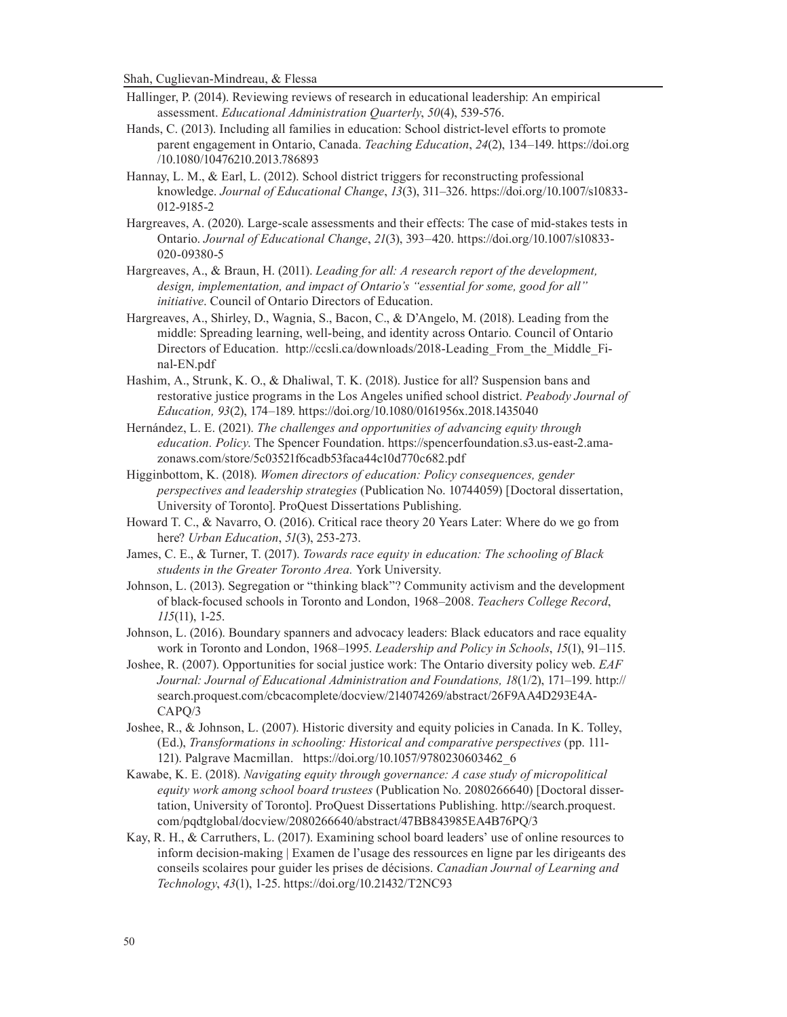- Hallinger, P. (2014). Reviewing reviews of research in educational leadership: An empirical assessment. *Educational Administration Quarterly*, *50*(4), 539-576.
- Hands, C. (2013). Including all families in education: School district-level efforts to promote parent engagement in Ontario, Canada. *Teaching Education*, *24*(2), 134–149. https://doi.org /10.1080/10476210.2013.786893
- Hannay, L. M., & Earl, L. (2012). School district triggers for reconstructing professional knowledge. *Journal of Educational Change*, *13*(3), 311–326. https://doi.org/10.1007/s10833- 012-9185-2
- Hargreaves, A. (2020). Large-scale assessments and their effects: The case of mid-stakes tests in Ontario. *Journal of Educational Change*, *21*(3), 393–420. https://doi.org/10.1007/s10833- 020-09380-5
- Hargreaves, A., & Braun, H. (2011). *Leading for all: A research report of the development, design, implementation, and impact of Ontario's "essential for some, good for all" initiative*. Council of Ontario Directors of Education.
- Hargreaves, A., Shirley, D., Wagnia, S., Bacon, C., & D'Angelo, M. (2018). Leading from the middle: Spreading learning, well-being, and identity across Ontario. Council of Ontario Directors of Education. http://ccsli.ca/downloads/2018-Leading\_From\_the\_Middle\_Final-EN.pdf
- Hashim, A., Strunk, K. O., & Dhaliwal, T. K. (2018). Justice for all? Suspension bans and restorative justice programs in the Los Angeles unified school district. *Peabody Journal of Education, 93*(2), 174–189. https://doi.org/10.1080/0161956x.2018.1435040
- Hernández, L. E. (2021). *The challenges and opportunities of advancing equity through education. Policy*. The Spencer Foundation. https://spencerfoundation.s3.us-east-2.amazonaws.com/store/5c03521f6cadb53faca44c10d770c682.pdf
- Higginbottom, K. (2018). *Women directors of education: Policy consequences, gender perspectives and leadership strategies* (Publication No. 10744059) [Doctoral dissertation, University of Toronto]. ProQuest Dissertations Publishing.
- Howard T. C., & Navarro, O. (2016). Critical race theory 20 Years Later: Where do we go from here? *Urban Education*, *51*(3), 253-273.
- James, C. E., & Turner, T. (2017). *Towards race equity in education: The schooling of Black students in the Greater Toronto Area.* York University.
- Johnson, L. (2013). Segregation or "thinking black"? Community activism and the development of black-focused schools in Toronto and London, 1968–2008. *Teachers College Record*, *115*(11), 1-25.
- Johnson, L. (2016). Boundary spanners and advocacy leaders: Black educators and race equality work in Toronto and London, 1968–1995. *Leadership and Policy in Schools*, *15*(1), 91–115.
- Joshee, R. (2007). Opportunities for social justice work: The Ontario diversity policy web. *EAF Journal: Journal of Educational Administration and Foundations, 18*(1/2), 171–199. http:// search.proquest.com/cbcacomplete/docview/214074269/abstract/26F9AA4D293E4A-CAPQ/3
- Joshee, R., & Johnson, L. (2007). Historic diversity and equity policies in Canada. In K. Tolley, (Ed.), *Transformations in schooling: Historical and comparative perspectives* (pp. 111- 121). Palgrave Macmillan. https://doi.org/10.1057/9780230603462\_6
- Kawabe, K. E. (2018). *Navigating equity through governance: A case study of micropolitical equity work among school board trustees* (Publication No. 2080266640) [Doctoral dissertation, University of Toronto]. ProQuest Dissertations Publishing. http://search.proquest. com/pqdtglobal/docview/2080266640/abstract/47BB843985EA4B76PQ/3
- Kay, R. H., & Carruthers, L. (2017). Examining school board leaders' use of online resources to inform decision-making | Examen de l'usage des ressources en ligne par les dirigeants des conseils scolaires pour guider les prises de décisions. *Canadian Journal of Learning and Technology*, *43*(1), 1-25. https://doi.org/10.21432/T2NC93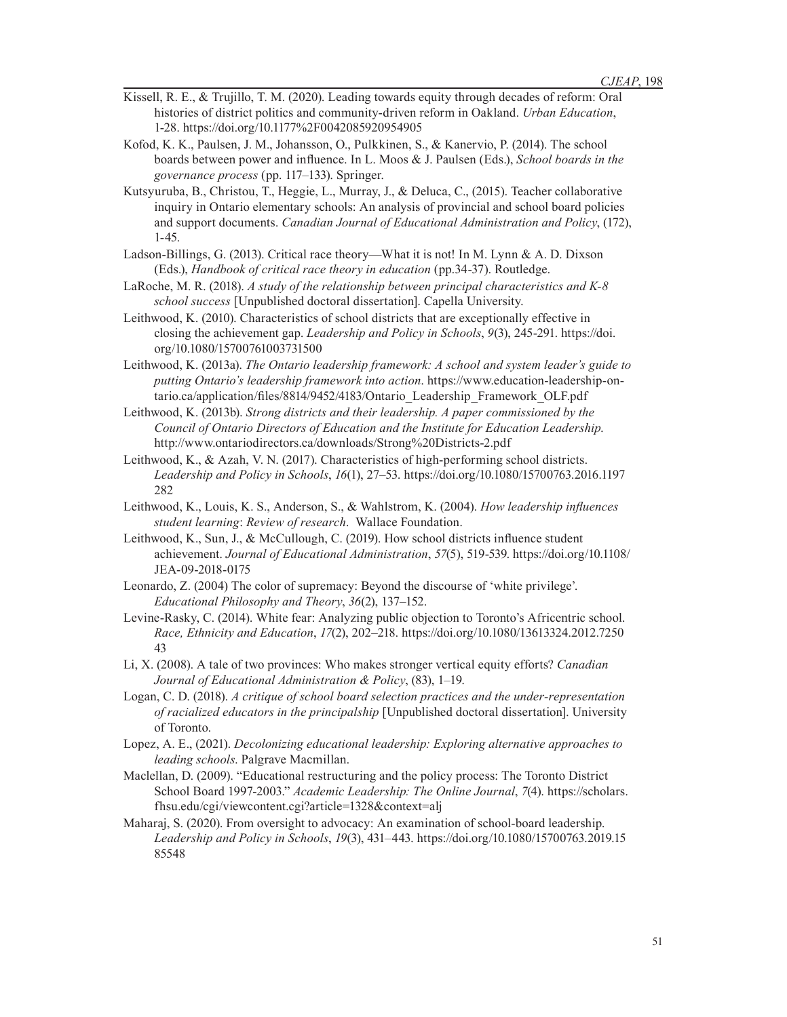- Kissell, R. E., & Trujillo, T. M. (2020). Leading towards equity through decades of reform: Oral histories of district politics and community-driven reform in Oakland. *Urban Education*, 1-28. https://doi.org/10.1177%2F0042085920954905
- Kofod, K. K., Paulsen, J. M., Johansson, O., Pulkkinen, S., & Kanervio, P. (2014). The school boards between power and influence. In L. Moos & J. Paulsen (Eds.), *School boards in the governance process* (pp. 117–133). Springer.
- Kutsyuruba, B., Christou, T., Heggie, L., Murray, J., & Deluca, C., (2015). Teacher collaborative inquiry in Ontario elementary schools: An analysis of provincial and school board policies and support documents. *Canadian Journal of Educational Administration and Policy*, (172), 1-45.
- Ladson-Billings, G. (2013). Critical race theory—What it is not! In M. Lynn & A. D. Dixson (Eds.), *Handbook of critical race theory in education* (pp.34-37). Routledge.
- LaRoche, M. R. (2018). *A study of the relationship between principal characteristics and K-8 school success* [Unpublished doctoral dissertation]. Capella University.
- Leithwood, K. (2010). Characteristics of school districts that are exceptionally effective in closing the achievement gap. *Leadership and Policy in Schools*, *9*(3), 245-291. https://doi. org/10.1080/15700761003731500
- Leithwood, K. (2013a). *The Ontario leadership framework: A school and system leader's guide to putting Ontario's leadership framework into action*. https://www.education-leadership-ontario.ca/application/files/8814/9452/4183/Ontario\_Leadership\_Framework\_OLF.pdf
- Leithwood, K. (2013b). *Strong districts and their leadership. A paper commissioned by the Council of Ontario Directors of Education and the Institute for Education Leadership*. http://www.ontariodirectors.ca/downloads/Strong%20Districts-2.pdf
- Leithwood, K., & Azah, V. N. (2017). Characteristics of high-performing school districts. *Leadership and Policy in Schools*, *16*(1), 27–53. https://doi.org/10.1080/15700763.2016.1197 282
- Leithwood, K., Louis, K. S., Anderson, S., & Wahlstrom, K. (2004). *How leadership influences student learning*: *Review of research*. Wallace Foundation.
- Leithwood, K., Sun, J., & McCullough, C. (2019). How school districts influence student achievement. *Journal of Educational Administration*, *57*(5), 519-539. https://doi.org/10.1108/ JEA-09-2018-0175
- Leonardo, Z. (2004) The color of supremacy: Beyond the discourse of 'white privilege'. *Educational Philosophy and Theory*, *36*(2), 137–152.
- Levine-Rasky, C. (2014). White fear: Analyzing public objection to Toronto's Africentric school. *Race, Ethnicity and Education*, *17*(2), 202–218. https://doi.org/10.1080/13613324.2012.7250 43
- Li, X. (2008). A tale of two provinces: Who makes stronger vertical equity efforts? *Canadian Journal of Educational Administration & Policy*, (83), 1–19.
- Logan, C. D. (2018). *A critique of school board selection practices and the under-representation of racialized educators in the principalship* [Unpublished doctoral dissertation]. University of Toronto.
- Lopez, A. E., (2021). *Decolonizing educational leadership: Exploring alternative approaches to leading schools*. Palgrave Macmillan.
- Maclellan, D. (2009). "Educational restructuring and the policy process: The Toronto District School Board 1997-2003." *Academic Leadership: The Online Journal*, *7*(4). https://scholars. fhsu.edu/cgi/viewcontent.cgi?article=1328&context=alj
- Maharaj, S. (2020). From oversight to advocacy: An examination of school-board leadership. *Leadership and Policy in Schools*, *19*(3), 431–443. https://doi.org/10.1080/15700763.2019.15 85548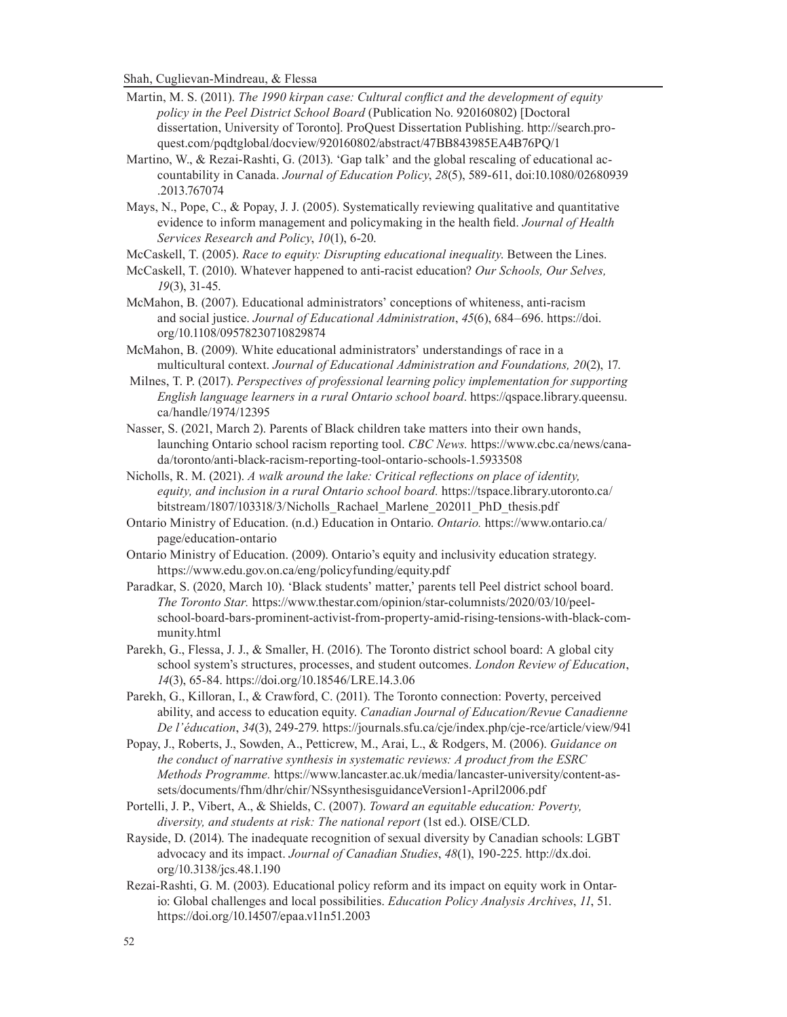- Martin, M. S. (2011). *The 1990 kirpan case: Cultural conflict and the development of equity policy in the Peel District School Board* (Publication No. 920160802) [Doctoral dissertation, University of Toronto]. ProQuest Dissertation Publishing. http://search.proquest.com/pqdtglobal/docview/920160802/abstract/47BB843985EA4B76PQ/1
- Martino, W., & Rezai-Rashti, G. (2013). 'Gap talk' and the global rescaling of educational accountability in Canada. *Journal of Education Policy*, *28*(5), 589-611, doi:10.1080/02680939 .2013.767074
- Mays, N., Pope, C., & Popay, J. J. (2005). Systematically reviewing qualitative and quantitative evidence to inform management and policymaking in the health field. *Journal of Health Services Research and Policy*, *10*(1), 6-20.
- McCaskell, T. (2005). *Race to equity: Disrupting educational inequality*. Between the Lines.
- McCaskell, T. (2010). Whatever happened to anti-racist education? *Our Schools, Our Selves, 19*(3), 31-45.
- McMahon, B. (2007). Educational administrators' conceptions of whiteness, anti-racism and social justice. *Journal of Educational Administration*, *45*(6), 684–696. https://doi. org/10.1108/09578230710829874
- McMahon, B. (2009). White educational administrators' understandings of race in a multicultural context. *Journal of Educational Administration and Foundations, 20*(2), 17.
- Milnes, T. P. (2017). *Perspectives of professional learning policy implementation for supporting English language learners in a rural Ontario school board*. https://qspace.library.queensu. ca/handle/1974/12395
- Nasser, S. (2021, March 2). Parents of Black children take matters into their own hands, launching Ontario school racism reporting tool. *CBC News.* https://www.cbc.ca/news/canada/toronto/anti-black-racism-reporting-tool-ontario-schools-1.5933508
- Nicholls, R. M. (2021). *A walk around the lake: Critical reflections on place of identity, equity, and inclusion in a rural Ontario school board.* https://tspace.library.utoronto.ca/ bitstream/1807/103318/3/Nicholls\_Rachael\_Marlene\_202011\_PhD\_thesis.pdf
- Ontario Ministry of Education. (n.d.) Education in Ontario. *Ontario.* https://www.ontario.ca/ page/education-ontario
- Ontario Ministry of Education. (2009). Ontario's equity and inclusivity education strategy. https://www.edu.gov.on.ca/eng/policyfunding/equity.pdf
- Paradkar, S. (2020, March 10). 'Black students' matter,' parents tell Peel district school board. *The Toronto Star.* https://www.thestar.com/opinion/star-columnists/2020/03/10/peelschool-board-bars-prominent-activist-from-property-amid-rising-tensions-with-black-community.html
- Parekh, G., Flessa, J. J., & Smaller, H. (2016). The Toronto district school board: A global city school system's structures, processes, and student outcomes. *London Review of Education*, *14*(3), 65-84. https://doi.org/10.18546/LRE.14.3.06
- Parekh, G., Killoran, I., & Crawford, C. (2011). The Toronto connection: Poverty, perceived ability, and access to education equity. *Canadian Journal of Education/Revue Canadienne De l'éducation*, *34*(3), 249-279. https://journals.sfu.ca/cje/index.php/cje-rce/article/view/941
- Popay, J., Roberts, J., Sowden, A., Petticrew, M., Arai, L., & Rodgers, M. (2006). *Guidance on the conduct of narrative synthesis in systematic reviews: A product from the ESRC Methods Programme.* https://www.lancaster.ac.uk/media/lancaster-university/content-assets/documents/fhm/dhr/chir/NSsynthesisguidanceVersion1-April2006.pdf
- Portelli, J. P., Vibert, A., & Shields, C. (2007). *Toward an equitable education: Poverty, diversity, and students at risk: The national report* (1st ed.). OISE/CLD.
- Rayside, D. (2014). The inadequate recognition of sexual diversity by Canadian schools: LGBT advocacy and its impact. *Journal of Canadian Studies*, *48*(1), 190-225. http://dx.doi. org/10.3138/jcs.48.1.190
- Rezai-Rashti, G. M. (2003). Educational policy reform and its impact on equity work in Ontario: Global challenges and local possibilities. *Education Policy Analysis Archives*, *11*, 51. https://doi.org/10.14507/epaa.v11n51.2003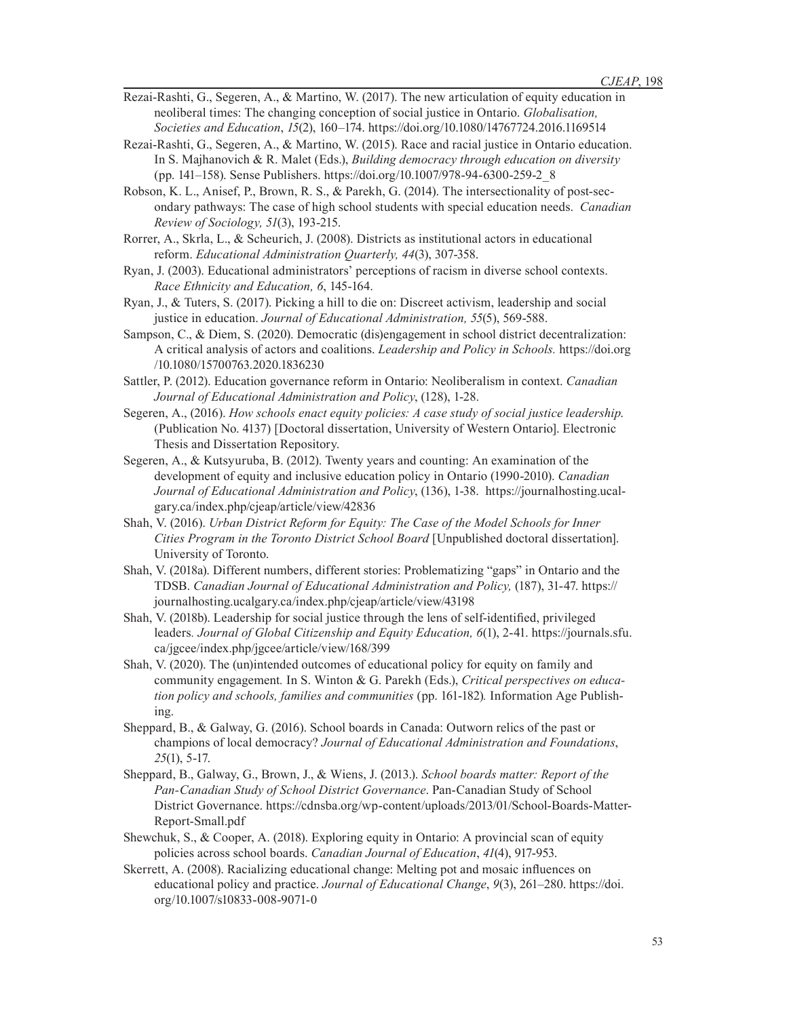- Rezai-Rashti, G., Segeren, A., & Martino, W. (2017). The new articulation of equity education in neoliberal times: The changing conception of social justice in Ontario. *Globalisation, Societies and Education*, *15*(2), 160–174. https://doi.org/10.1080/14767724.2016.1169514
- Rezai-Rashti, G., Segeren, A., & Martino, W. (2015). Race and racial justice in Ontario education. In S. Majhanovich & R. Malet (Eds.), *Building democracy through education on diversity* (pp. 141–158). Sense Publishers. https://doi.org/10.1007/978-94-6300-259-2\_8
- Robson, K. L., Anisef, P., Brown, R. S., & Parekh, G. (2014). The intersectionality of post-secondary pathways: The case of high school students with special education needs. *Canadian Review of Sociology, 51*(3), 193-215.
- Rorrer, A., Skrla, L., & Scheurich, J. (2008). Districts as institutional actors in educational reform. *Educational Administration Quarterly, 44*(3), 307-358.
- Ryan, J. (2003). Educational administrators' perceptions of racism in diverse school contexts. *Race Ethnicity and Education, 6*, 145-164.
- Ryan, J., & Tuters, S. (2017). Picking a hill to die on: Discreet activism, leadership and social justice in education. *Journal of Educational Administration, 55*(5), 569-588.
- Sampson, C., & Diem, S. (2020). Democratic (dis)engagement in school district decentralization: A critical analysis of actors and coalitions. *Leadership and Policy in Schools.* https://doi.org /10.1080/15700763.2020.1836230
- Sattler, P. (2012). Education governance reform in Ontario: Neoliberalism in context. *Canadian Journal of Educational Administration and Policy*, (128), 1-28.
- Segeren, A., (2016). *How schools enact equity policies: A case study of social justice leadership*. (Publication No. 4137) [Doctoral dissertation, University of Western Ontario]. Electronic Thesis and Dissertation Repository.
- Segeren, A., & Kutsyuruba, B. (2012). Twenty years and counting: An examination of the development of equity and inclusive education policy in Ontario (1990-2010). *Canadian Journal of Educational Administration and Policy*, (136), 1-38. https://journalhosting.ucalgary.ca/index.php/cjeap/article/view/42836
- Shah, V. (2016). *Urban District Reform for Equity: The Case of the Model Schools for Inner Cities Program in the Toronto District School Board* [Unpublished doctoral dissertation]. University of Toronto.
- Shah, V. (2018a). Different numbers, different stories: Problematizing "gaps" in Ontario and the TDSB. *Canadian Journal of Educational Administration and Policy,* (187), 31-47. https:// journalhosting.ucalgary.ca/index.php/cjeap/article/view/43198
- Shah, V. (2018b). Leadership for social justice through the lens of self-identified, privileged leaders*. Journal of Global Citizenship and Equity Education, 6*(1), 2-41. https://journals.sfu. ca/jgcee/index.php/jgcee/article/view/168/399
- Shah, V. (2020). The (un)intended outcomes of educational policy for equity on family and community engagement*.* In S. Winton & G. Parekh (Eds.), *Critical perspectives on education policy and schools, families and communities* (pp. 161-182)*.* Information Age Publishing.
- Sheppard, B., & Galway, G. (2016). School boards in Canada: Outworn relics of the past or champions of local democracy? *Journal of Educational Administration and Foundations*, *25*(1), 5-17.
- Sheppard, B., Galway, G., Brown, J., & Wiens, J. (2013.). *School boards matter: Report of the Pan-Canadian Study of School District Governance*. Pan-Canadian Study of School District Governance. https://cdnsba.org/wp-content/uploads/2013/01/School-Boards-Matter-Report-Small.pdf
- Shewchuk, S., & Cooper, A. (2018). Exploring equity in Ontario: A provincial scan of equity policies across school boards. *Canadian Journal of Education*, *41*(4), 917-953.
- Skerrett, A. (2008). Racializing educational change: Melting pot and mosaic influences on educational policy and practice. *Journal of Educational Change*, *9*(3), 261–280. https://doi. org/10.1007/s10833-008-9071-0